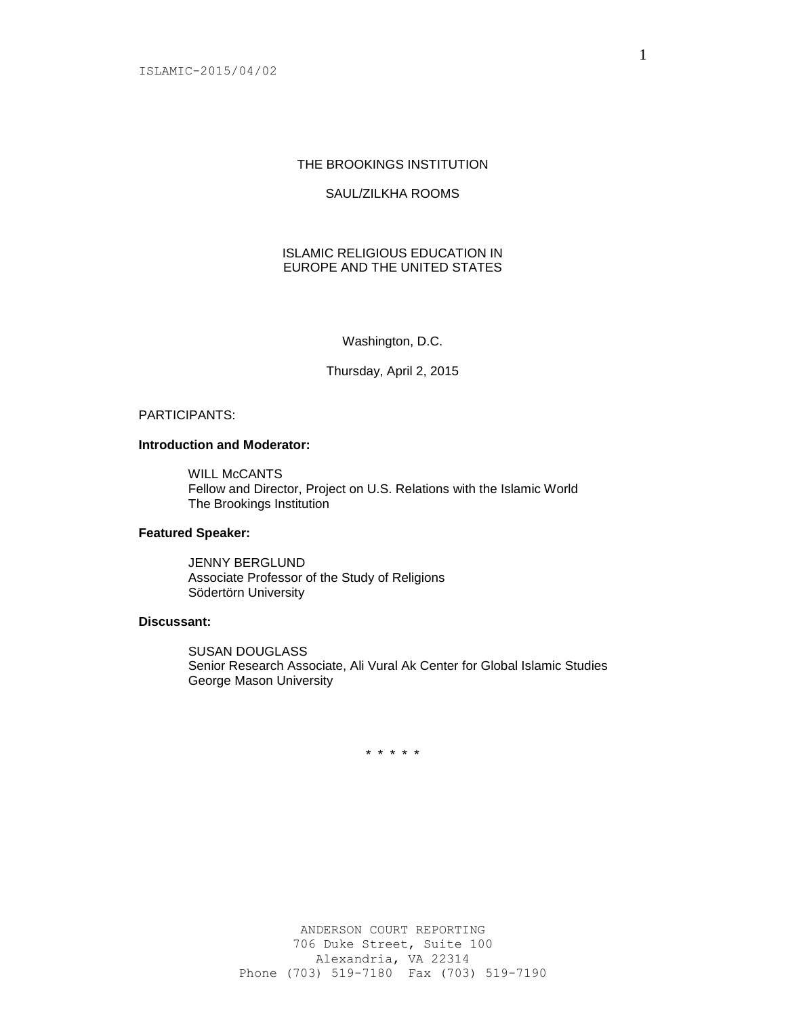# THE BROOKINGS INSTITUTION

### SAUL/ZILKHA ROOMS

# ISLAMIC RELIGIOUS EDUCATION IN EUROPE AND THE UNITED STATES

### Washington, D.C.

Thursday, April 2, 2015

### PARTICIPANTS:

# **Introduction and Moderator:**

WILL McCANTS Fellow and Director, Project on U.S. Relations with the Islamic World The Brookings Institution

# **Featured Speaker:**

JENNY BERGLUND Associate Professor of the Study of Religions Södertörn University

### **Discussant:**

SUSAN DOUGLASS Senior Research Associate, Ali Vural Ak Center for Global Islamic Studies George Mason University

\* \* \* \* \*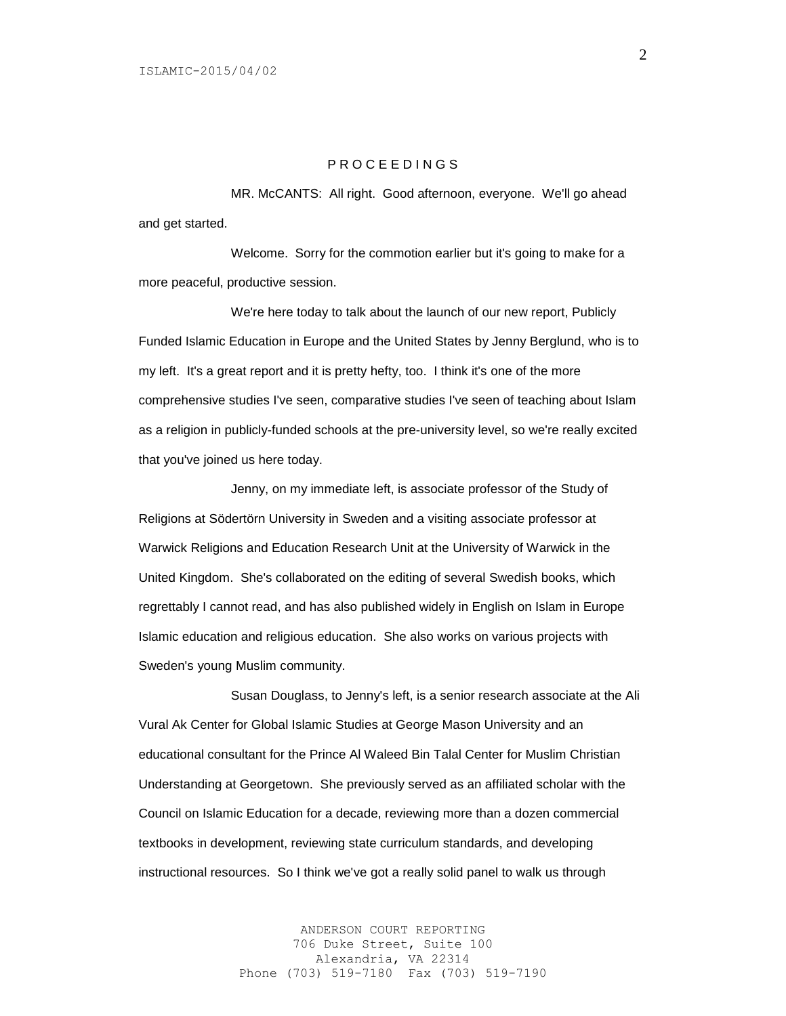# P R O C E E D I N G S

MR. McCANTS: All right. Good afternoon, everyone. We'll go ahead and get started.

Welcome. Sorry for the commotion earlier but it's going to make for a more peaceful, productive session.

We're here today to talk about the launch of our new report, Publicly Funded Islamic Education in Europe and the United States by Jenny Berglund, who is to my left. It's a great report and it is pretty hefty, too. I think it's one of the more comprehensive studies I've seen, comparative studies I've seen of teaching about Islam as a religion in publicly-funded schools at the pre-university level, so we're really excited that you've joined us here today.

Jenny, on my immediate left, is associate professor of the Study of Religions at Södertörn University in Sweden and a visiting associate professor at Warwick Religions and Education Research Unit at the University of Warwick in the United Kingdom. She's collaborated on the editing of several Swedish books, which regrettably I cannot read, and has also published widely in English on Islam in Europe Islamic education and religious education. She also works on various projects with Sweden's young Muslim community.

Susan Douglass, to Jenny's left, is a senior research associate at the Ali Vural Ak Center for Global Islamic Studies at George Mason University and an educational consultant for the Prince Al Waleed Bin Talal Center for Muslim Christian Understanding at Georgetown. She previously served as an affiliated scholar with the Council on Islamic Education for a decade, reviewing more than a dozen commercial textbooks in development, reviewing state curriculum standards, and developing instructional resources. So I think we've got a really solid panel to walk us through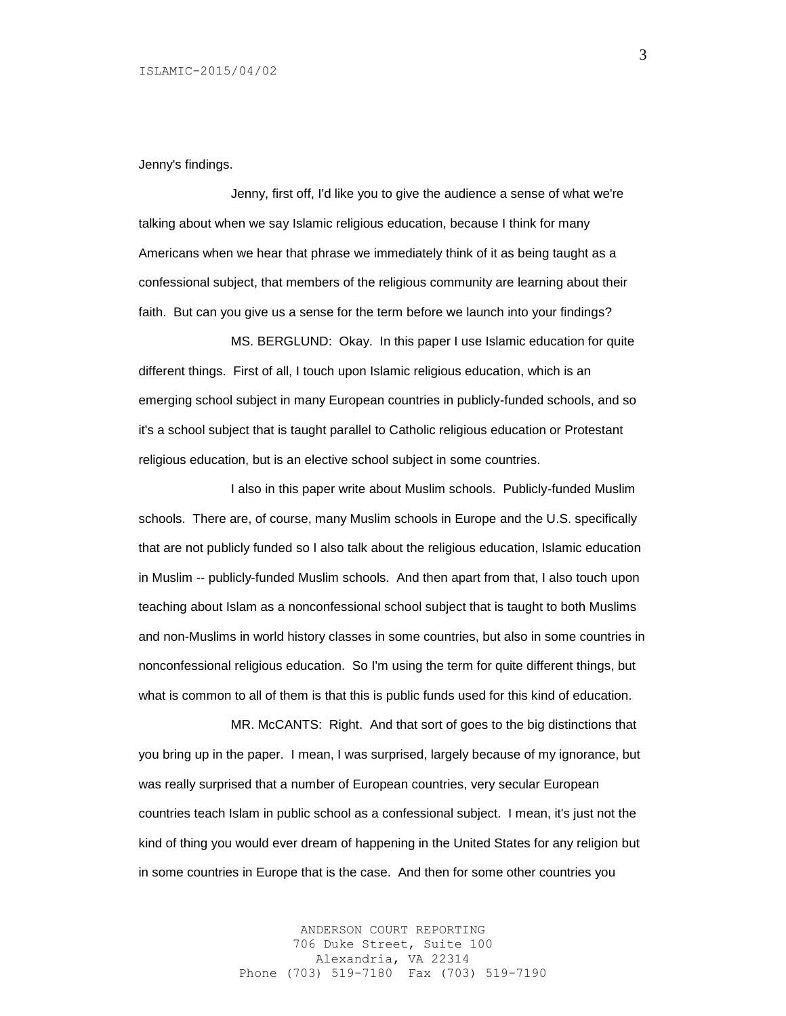Jenny's findings.

Jenny, first off, I'd like you to give the audience a sense of what we're talking about when we say Islamic religious education, because I think for many Americans when we hear that phrase we immediately think of it as being taught as a confessional subject, that members of the religious community are learning about their faith. But can you give us a sense for the term before we launch into your findings?

MS. BERGLUND: Okay. In this paper I use Islamic education for quite different things. First of all, I touch upon Islamic religious education, which is an emerging school subject in many European countries in publicly-funded schools, and so it's a school subject that is taught parallel to Catholic religious education or Protestant religious education, but is an elective school subject in some countries.

I also in this paper write about Muslim schools. Publicly-funded Muslim schools. There are, of course, many Muslim schools in Europe and the U.S. specifically that are not publicly funded so I also talk about the religious education, Islamic education in Muslim -- publicly-funded Muslim schools. And then apart from that, I also touch upon teaching about Islam as a nonconfessional school subject that is taught to both Muslims and non-Muslims in world history classes in some countries, but also in some countries in nonconfessional religious education. So I'm using the term for quite different things, but what is common to all of them is that this is public funds used for this kind of education.

MR. McCANTS: Right. And that sort of goes to the big distinctions that you bring up in the paper. I mean, I was surprised, largely because of my ignorance, but was really surprised that a number of European countries, very secular European countries teach Islam in public school as a confessional subject. I mean, it's just not the kind of thing you would ever dream of happening in the United States for any religion but in some countries in Europe that is the case. And then for some other countries you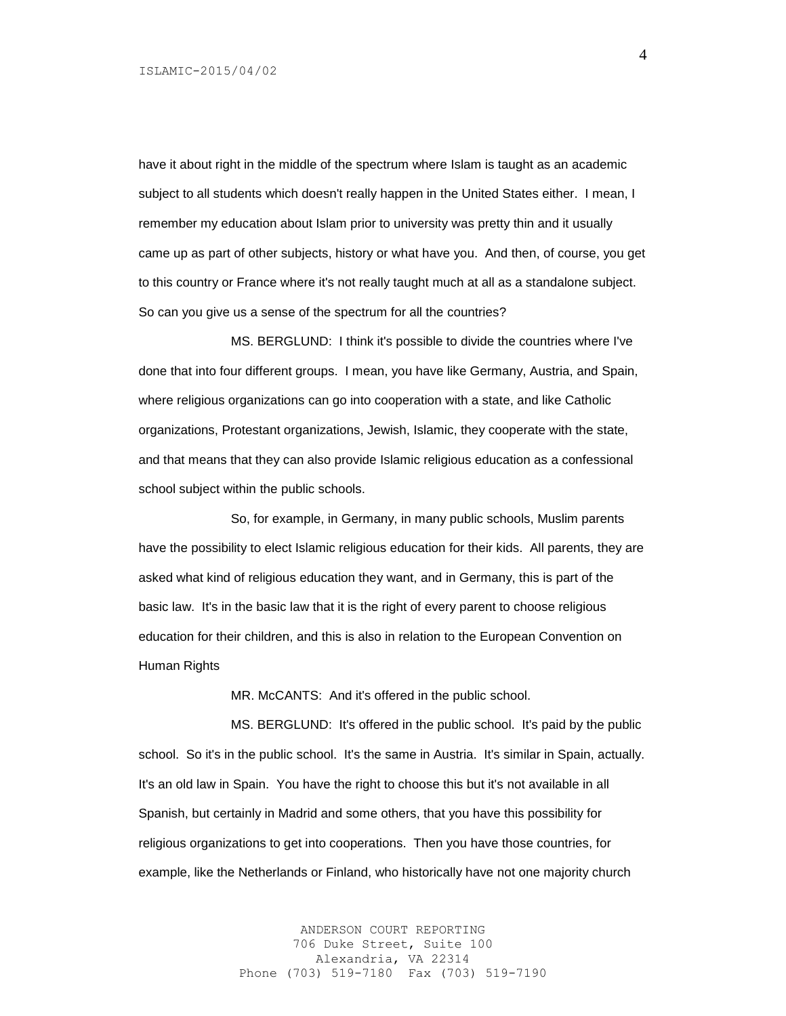have it about right in the middle of the spectrum where Islam is taught as an academic subject to all students which doesn't really happen in the United States either. I mean, I remember my education about Islam prior to university was pretty thin and it usually came up as part of other subjects, history or what have you. And then, of course, you get to this country or France where it's not really taught much at all as a standalone subject. So can you give us a sense of the spectrum for all the countries?

MS. BERGLUND: I think it's possible to divide the countries where I've done that into four different groups. I mean, you have like Germany, Austria, and Spain, where religious organizations can go into cooperation with a state, and like Catholic organizations, Protestant organizations, Jewish, Islamic, they cooperate with the state, and that means that they can also provide Islamic religious education as a confessional school subject within the public schools.

So, for example, in Germany, in many public schools, Muslim parents have the possibility to elect Islamic religious education for their kids. All parents, they are asked what kind of religious education they want, and in Germany, this is part of the basic law. It's in the basic law that it is the right of every parent to choose religious education for their children, and this is also in relation to the European Convention on Human Rights

MR. McCANTS: And it's offered in the public school.

MS. BERGLUND: It's offered in the public school. It's paid by the public school. So it's in the public school. It's the same in Austria. It's similar in Spain, actually. It's an old law in Spain. You have the right to choose this but it's not available in all Spanish, but certainly in Madrid and some others, that you have this possibility for religious organizations to get into cooperations. Then you have those countries, for example, like the Netherlands or Finland, who historically have not one majority church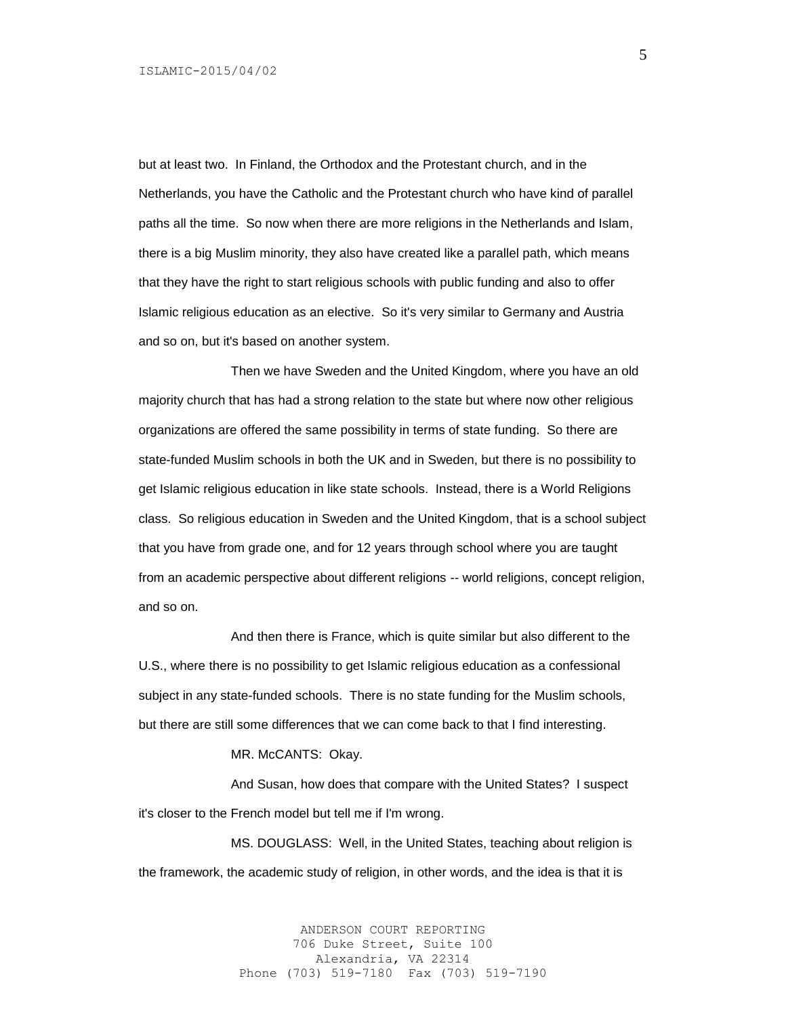but at least two. In Finland, the Orthodox and the Protestant church, and in the Netherlands, you have the Catholic and the Protestant church who have kind of parallel paths all the time. So now when there are more religions in the Netherlands and Islam, there is a big Muslim minority, they also have created like a parallel path, which means that they have the right to start religious schools with public funding and also to offer Islamic religious education as an elective. So it's very similar to Germany and Austria and so on, but it's based on another system.

Then we have Sweden and the United Kingdom, where you have an old majority church that has had a strong relation to the state but where now other religious organizations are offered the same possibility in terms of state funding. So there are state-funded Muslim schools in both the UK and in Sweden, but there is no possibility to get Islamic religious education in like state schools. Instead, there is a World Religions class. So religious education in Sweden and the United Kingdom, that is a school subject that you have from grade one, and for 12 years through school where you are taught from an academic perspective about different religions -- world religions, concept religion, and so on.

And then there is France, which is quite similar but also different to the U.S., where there is no possibility to get Islamic religious education as a confessional subject in any state-funded schools. There is no state funding for the Muslim schools, but there are still some differences that we can come back to that I find interesting.

MR. McCANTS: Okay.

And Susan, how does that compare with the United States? I suspect it's closer to the French model but tell me if I'm wrong.

MS. DOUGLASS: Well, in the United States, teaching about religion is the framework, the academic study of religion, in other words, and the idea is that it is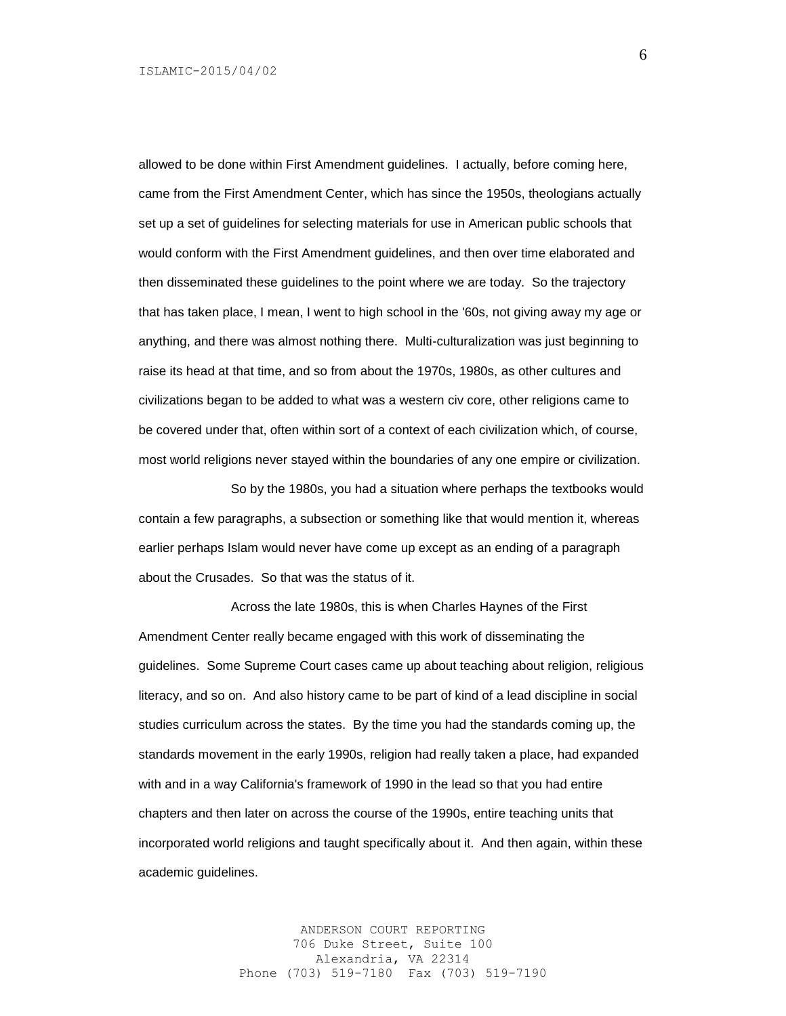allowed to be done within First Amendment guidelines. I actually, before coming here, came from the First Amendment Center, which has since the 1950s, theologians actually set up a set of guidelines for selecting materials for use in American public schools that would conform with the First Amendment guidelines, and then over time elaborated and then disseminated these guidelines to the point where we are today. So the trajectory that has taken place, I mean, I went to high school in the '60s, not giving away my age or anything, and there was almost nothing there. Multi-culturalization was just beginning to raise its head at that time, and so from about the 1970s, 1980s, as other cultures and civilizations began to be added to what was a western civ core, other religions came to be covered under that, often within sort of a context of each civilization which, of course, most world religions never stayed within the boundaries of any one empire or civilization.

So by the 1980s, you had a situation where perhaps the textbooks would contain a few paragraphs, a subsection or something like that would mention it, whereas earlier perhaps Islam would never have come up except as an ending of a paragraph about the Crusades. So that was the status of it.

Across the late 1980s, this is when Charles Haynes of the First Amendment Center really became engaged with this work of disseminating the guidelines. Some Supreme Court cases came up about teaching about religion, religious literacy, and so on. And also history came to be part of kind of a lead discipline in social studies curriculum across the states. By the time you had the standards coming up, the standards movement in the early 1990s, religion had really taken a place, had expanded with and in a way California's framework of 1990 in the lead so that you had entire chapters and then later on across the course of the 1990s, entire teaching units that incorporated world religions and taught specifically about it. And then again, within these academic guidelines.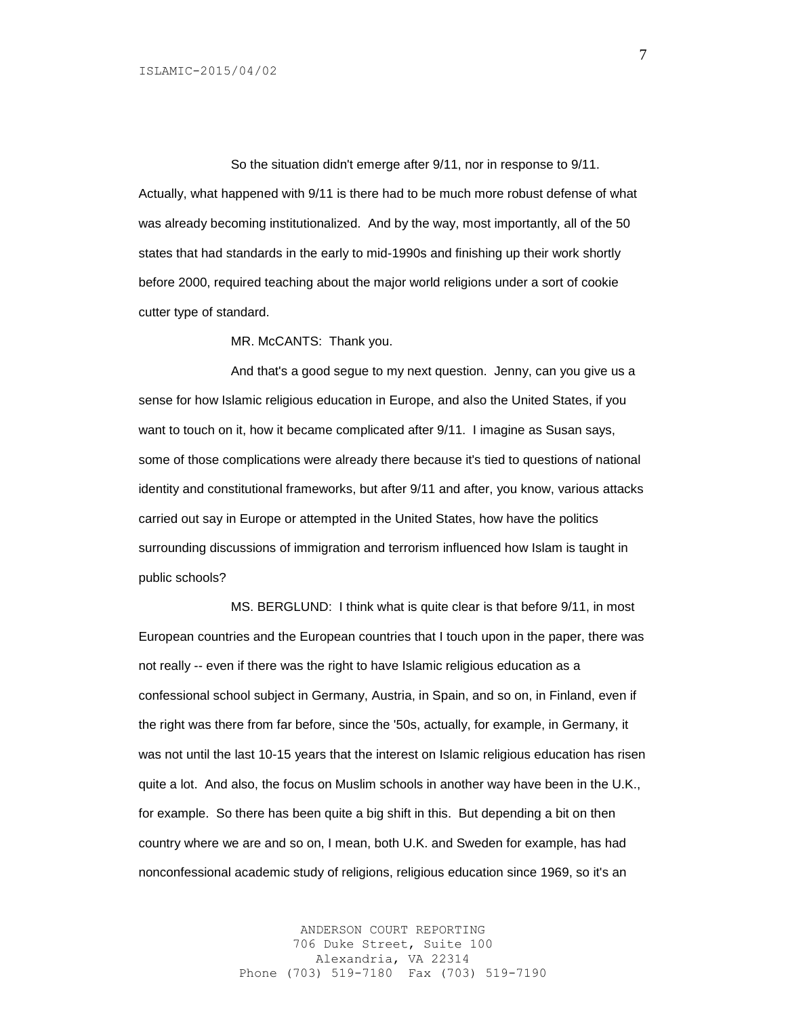So the situation didn't emerge after 9/11, nor in response to 9/11. Actually, what happened with 9/11 is there had to be much more robust defense of what was already becoming institutionalized. And by the way, most importantly, all of the 50 states that had standards in the early to mid-1990s and finishing up their work shortly before 2000, required teaching about the major world religions under a sort of cookie cutter type of standard.

MR. McCANTS: Thank you.

And that's a good segue to my next question. Jenny, can you give us a sense for how Islamic religious education in Europe, and also the United States, if you want to touch on it, how it became complicated after 9/11. I imagine as Susan says, some of those complications were already there because it's tied to questions of national identity and constitutional frameworks, but after 9/11 and after, you know, various attacks carried out say in Europe or attempted in the United States, how have the politics surrounding discussions of immigration and terrorism influenced how Islam is taught in public schools?

MS. BERGLUND: I think what is quite clear is that before 9/11, in most European countries and the European countries that I touch upon in the paper, there was not really -- even if there was the right to have Islamic religious education as a confessional school subject in Germany, Austria, in Spain, and so on, in Finland, even if the right was there from far before, since the '50s, actually, for example, in Germany, it was not until the last 10-15 years that the interest on Islamic religious education has risen quite a lot. And also, the focus on Muslim schools in another way have been in the U.K., for example. So there has been quite a big shift in this. But depending a bit on then country where we are and so on, I mean, both U.K. and Sweden for example, has had nonconfessional academic study of religions, religious education since 1969, so it's an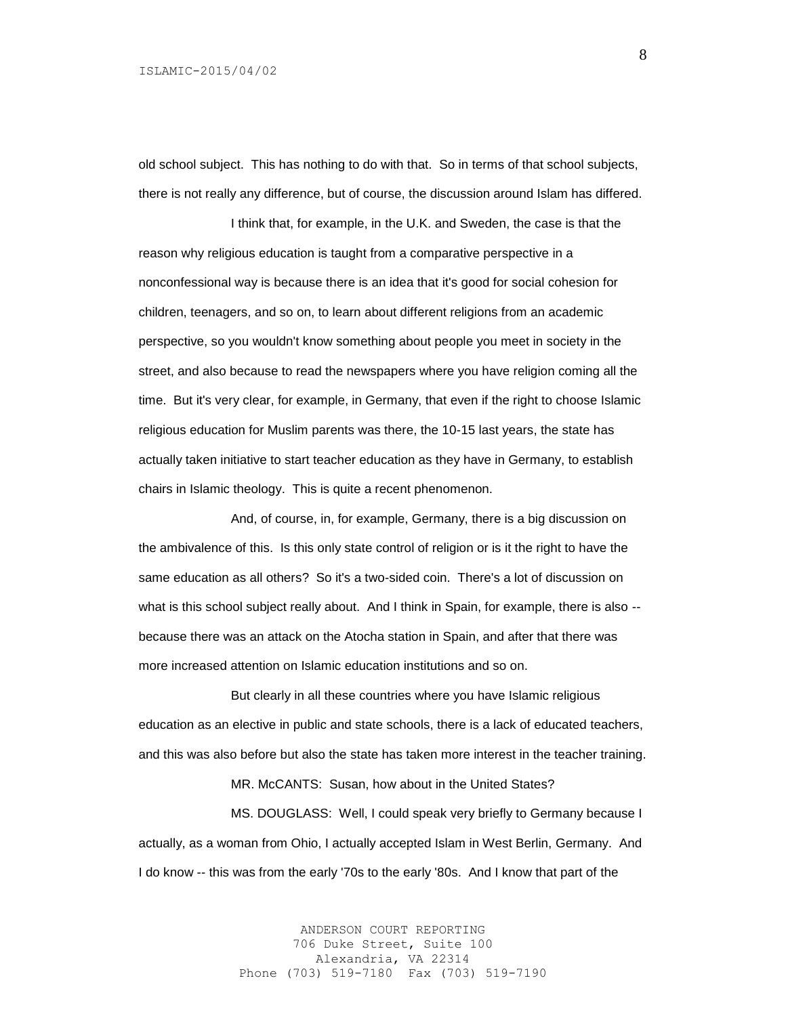old school subject. This has nothing to do with that. So in terms of that school subjects, there is not really any difference, but of course, the discussion around Islam has differed.

I think that, for example, in the U.K. and Sweden, the case is that the reason why religious education is taught from a comparative perspective in a nonconfessional way is because there is an idea that it's good for social cohesion for children, teenagers, and so on, to learn about different religions from an academic perspective, so you wouldn't know something about people you meet in society in the street, and also because to read the newspapers where you have religion coming all the time. But it's very clear, for example, in Germany, that even if the right to choose Islamic religious education for Muslim parents was there, the 10-15 last years, the state has actually taken initiative to start teacher education as they have in Germany, to establish chairs in Islamic theology. This is quite a recent phenomenon.

And, of course, in, for example, Germany, there is a big discussion on the ambivalence of this. Is this only state control of religion or is it the right to have the same education as all others? So it's a two-sided coin. There's a lot of discussion on what is this school subject really about. And I think in Spain, for example, there is also -because there was an attack on the Atocha station in Spain, and after that there was more increased attention on Islamic education institutions and so on.

But clearly in all these countries where you have Islamic religious education as an elective in public and state schools, there is a lack of educated teachers, and this was also before but also the state has taken more interest in the teacher training.

MR. McCANTS: Susan, how about in the United States?

MS. DOUGLASS: Well, I could speak very briefly to Germany because I actually, as a woman from Ohio, I actually accepted Islam in West Berlin, Germany. And I do know -- this was from the early '70s to the early '80s. And I know that part of the

> ANDERSON COURT REPORTING 706 Duke Street, Suite 100 Alexandria, VA 22314 Phone (703) 519-7180 Fax (703) 519-7190

8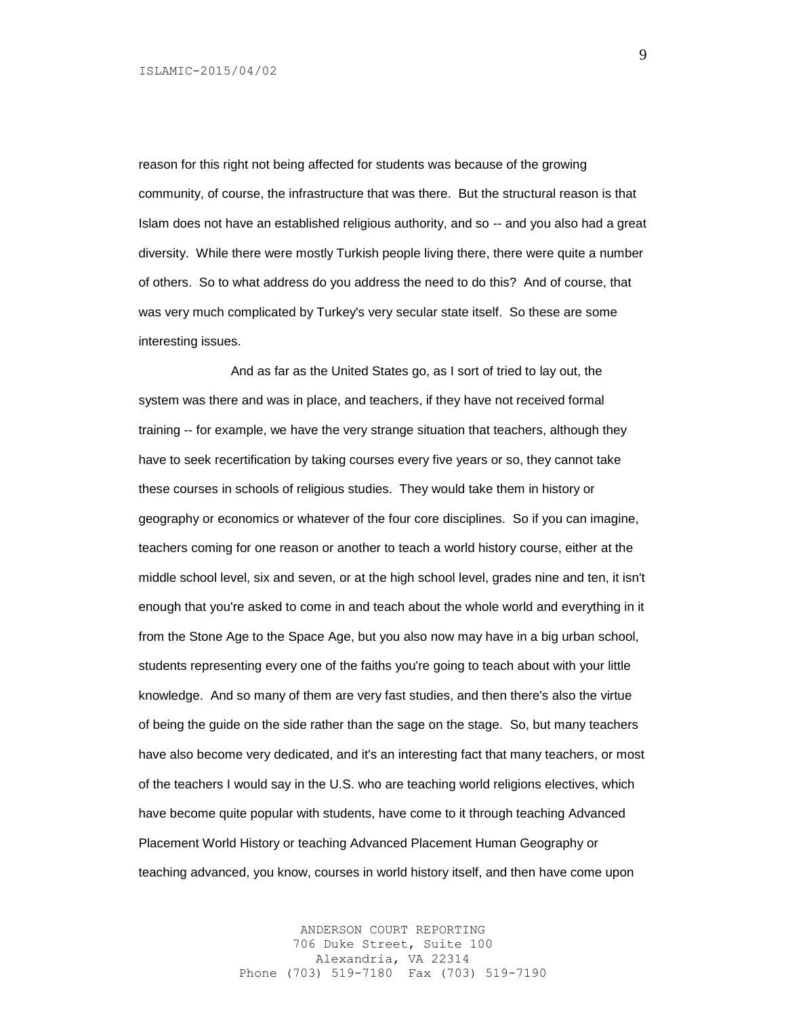reason for this right not being affected for students was because of the growing community, of course, the infrastructure that was there. But the structural reason is that Islam does not have an established religious authority, and so -- and you also had a great diversity. While there were mostly Turkish people living there, there were quite a number of others. So to what address do you address the need to do this? And of course, that was very much complicated by Turkey's very secular state itself. So these are some interesting issues.

And as far as the United States go, as I sort of tried to lay out, the system was there and was in place, and teachers, if they have not received formal training -- for example, we have the very strange situation that teachers, although they have to seek recertification by taking courses every five years or so, they cannot take these courses in schools of religious studies. They would take them in history or geography or economics or whatever of the four core disciplines. So if you can imagine, teachers coming for one reason or another to teach a world history course, either at the middle school level, six and seven, or at the high school level, grades nine and ten, it isn't enough that you're asked to come in and teach about the whole world and everything in it from the Stone Age to the Space Age, but you also now may have in a big urban school, students representing every one of the faiths you're going to teach about with your little knowledge. And so many of them are very fast studies, and then there's also the virtue of being the guide on the side rather than the sage on the stage. So, but many teachers have also become very dedicated, and it's an interesting fact that many teachers, or most of the teachers I would say in the U.S. who are teaching world religions electives, which have become quite popular with students, have come to it through teaching Advanced Placement World History or teaching Advanced Placement Human Geography or teaching advanced, you know, courses in world history itself, and then have come upon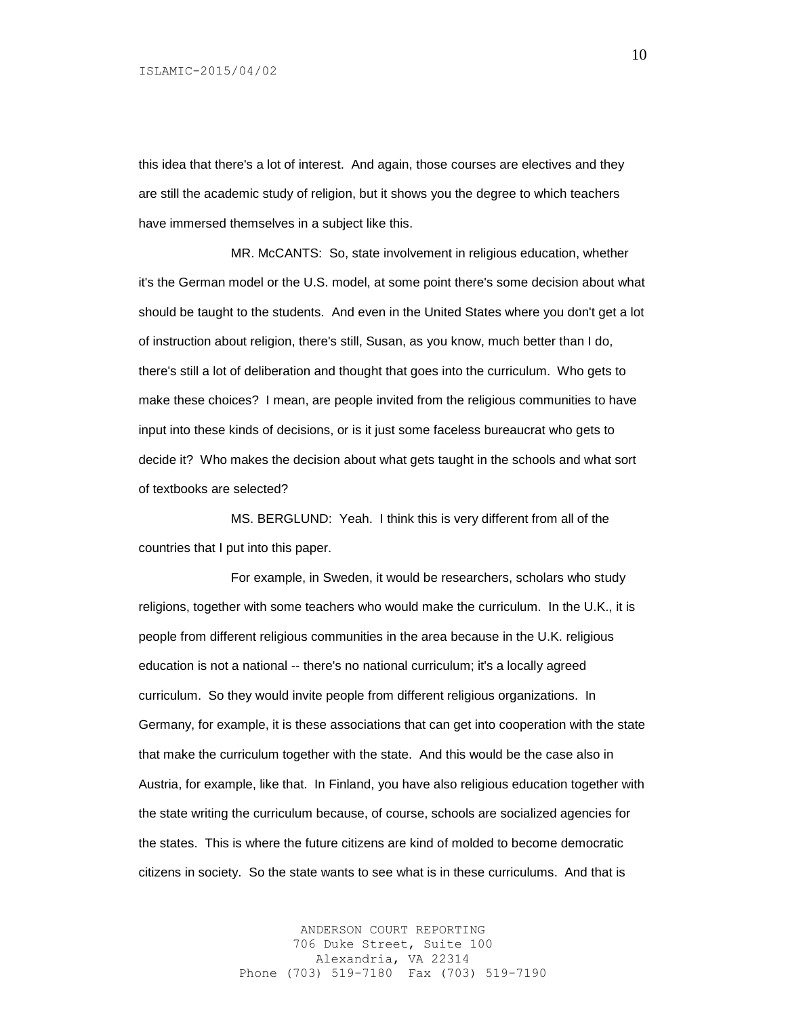this idea that there's a lot of interest. And again, those courses are electives and they are still the academic study of religion, but it shows you the degree to which teachers have immersed themselves in a subject like this.

MR. McCANTS: So, state involvement in religious education, whether it's the German model or the U.S. model, at some point there's some decision about what should be taught to the students. And even in the United States where you don't get a lot of instruction about religion, there's still, Susan, as you know, much better than I do, there's still a lot of deliberation and thought that goes into the curriculum. Who gets to make these choices? I mean, are people invited from the religious communities to have input into these kinds of decisions, or is it just some faceless bureaucrat who gets to decide it? Who makes the decision about what gets taught in the schools and what sort of textbooks are selected?

MS. BERGLUND: Yeah. I think this is very different from all of the countries that I put into this paper.

For example, in Sweden, it would be researchers, scholars who study religions, together with some teachers who would make the curriculum. In the U.K., it is people from different religious communities in the area because in the U.K. religious education is not a national -- there's no national curriculum; it's a locally agreed curriculum. So they would invite people from different religious organizations. In Germany, for example, it is these associations that can get into cooperation with the state that make the curriculum together with the state. And this would be the case also in Austria, for example, like that. In Finland, you have also religious education together with the state writing the curriculum because, of course, schools are socialized agencies for the states. This is where the future citizens are kind of molded to become democratic citizens in society. So the state wants to see what is in these curriculums. And that is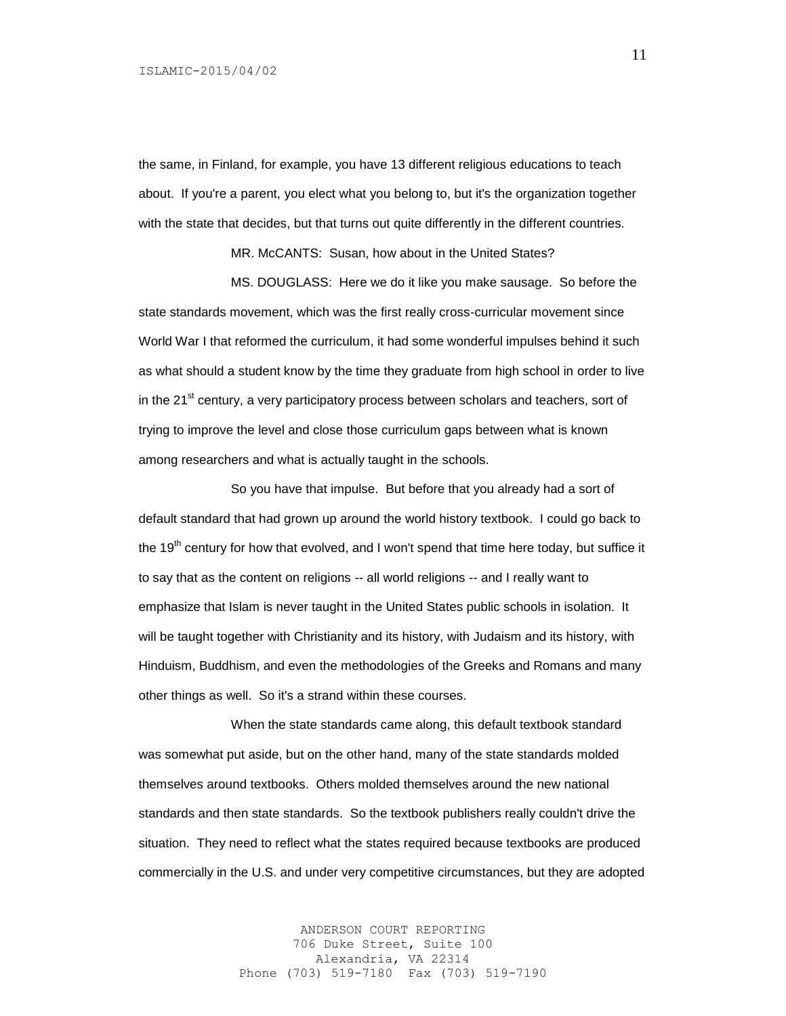the same, in Finland, for example, you have 13 different religious educations to teach about. If you're a parent, you elect what you belong to, but it's the organization together with the state that decides, but that turns out quite differently in the different countries.

MR. McCANTS: Susan, how about in the United States?

MS. DOUGLASS: Here we do it like you make sausage. So before the state standards movement, which was the first really cross-curricular movement since World War I that reformed the curriculum, it had some wonderful impulses behind it such as what should a student know by the time they graduate from high school in order to live in the  $21<sup>st</sup>$  century, a very participatory process between scholars and teachers, sort of trying to improve the level and close those curriculum gaps between what is known among researchers and what is actually taught in the schools.

So you have that impulse. But before that you already had a sort of default standard that had grown up around the world history textbook. I could go back to the 19<sup>th</sup> century for how that evolved, and I won't spend that time here today, but suffice it to say that as the content on religions -- all world religions -- and I really want to emphasize that Islam is never taught in the United States public schools in isolation. It will be taught together with Christianity and its history, with Judaism and its history, with Hinduism, Buddhism, and even the methodologies of the Greeks and Romans and many other things as well. So it's a strand within these courses.

When the state standards came along, this default textbook standard was somewhat put aside, but on the other hand, many of the state standards molded themselves around textbooks. Others molded themselves around the new national standards and then state standards. So the textbook publishers really couldn't drive the situation. They need to reflect what the states required because textbooks are produced commercially in the U.S. and under very competitive circumstances, but they are adopted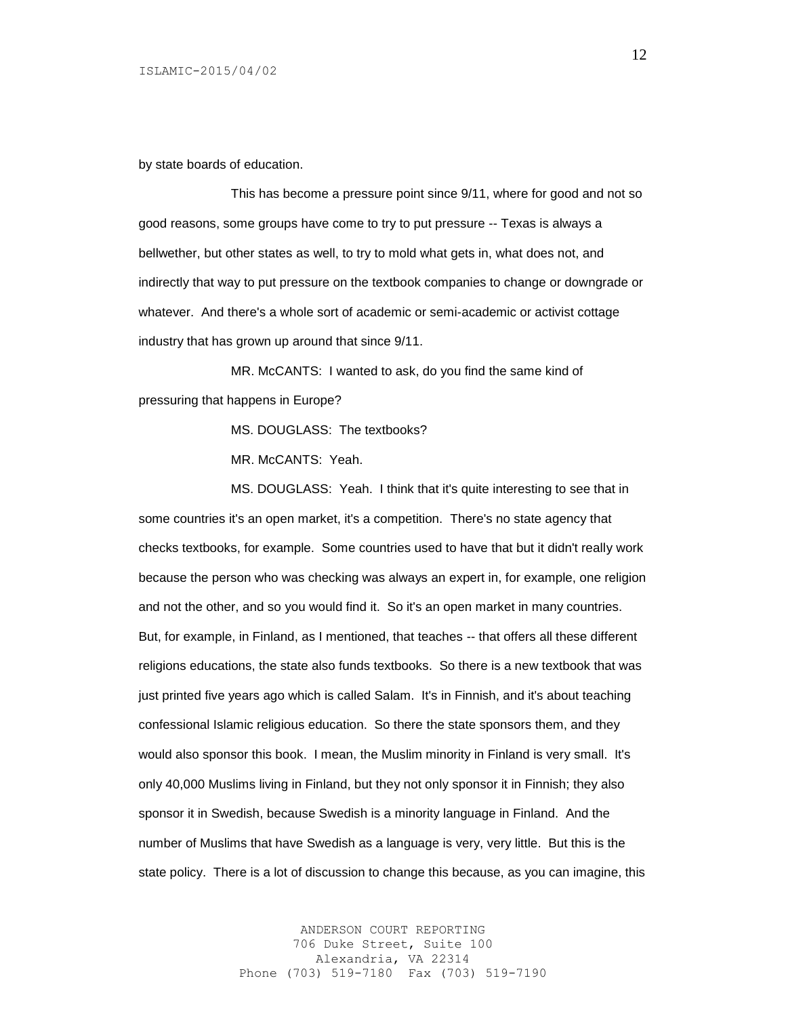by state boards of education.

This has become a pressure point since 9/11, where for good and not so good reasons, some groups have come to try to put pressure -- Texas is always a bellwether, but other states as well, to try to mold what gets in, what does not, and indirectly that way to put pressure on the textbook companies to change or downgrade or whatever. And there's a whole sort of academic or semi-academic or activist cottage industry that has grown up around that since 9/11.

MR. McCANTS: I wanted to ask, do you find the same kind of pressuring that happens in Europe?

MS. DOUGLASS: The textbooks?

MR. McCANTS: Yeah.

MS. DOUGLASS: Yeah. I think that it's quite interesting to see that in some countries it's an open market, it's a competition. There's no state agency that checks textbooks, for example. Some countries used to have that but it didn't really work because the person who was checking was always an expert in, for example, one religion and not the other, and so you would find it. So it's an open market in many countries. But, for example, in Finland, as I mentioned, that teaches -- that offers all these different religions educations, the state also funds textbooks. So there is a new textbook that was just printed five years ago which is called Salam. It's in Finnish, and it's about teaching confessional Islamic religious education. So there the state sponsors them, and they would also sponsor this book. I mean, the Muslim minority in Finland is very small. It's only 40,000 Muslims living in Finland, but they not only sponsor it in Finnish; they also sponsor it in Swedish, because Swedish is a minority language in Finland. And the number of Muslims that have Swedish as a language is very, very little. But this is the state policy. There is a lot of discussion to change this because, as you can imagine, this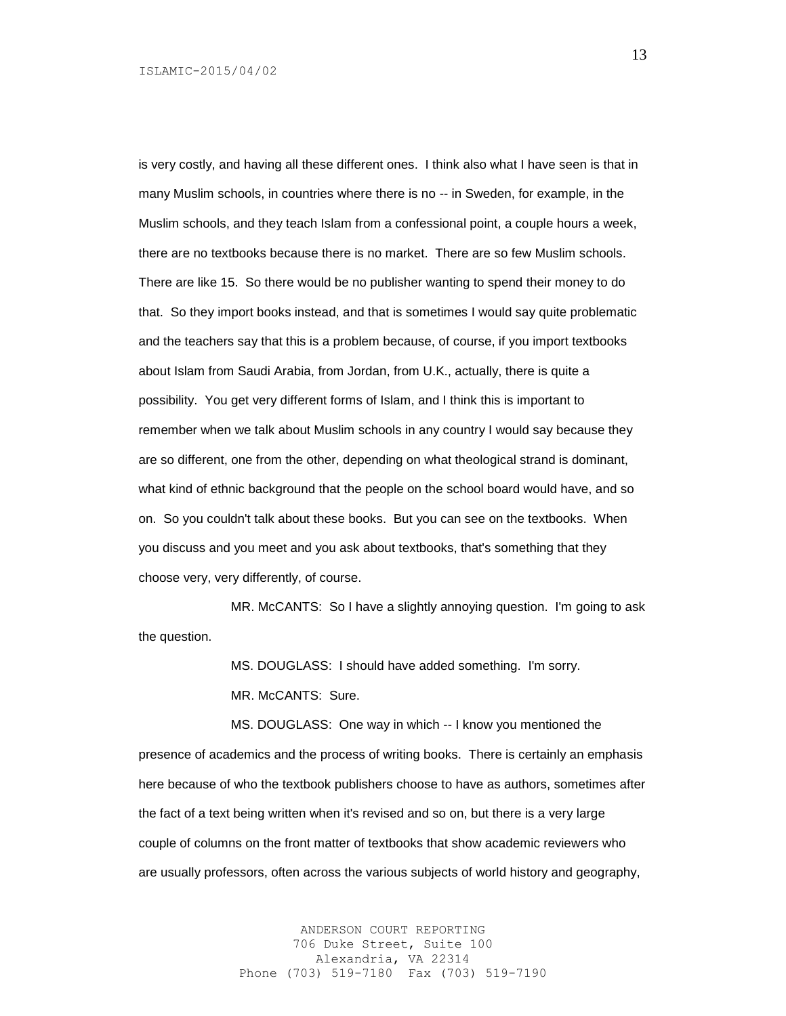is very costly, and having all these different ones. I think also what I have seen is that in many Muslim schools, in countries where there is no -- in Sweden, for example, in the Muslim schools, and they teach Islam from a confessional point, a couple hours a week, there are no textbooks because there is no market. There are so few Muslim schools. There are like 15. So there would be no publisher wanting to spend their money to do that. So they import books instead, and that is sometimes I would say quite problematic and the teachers say that this is a problem because, of course, if you import textbooks about Islam from Saudi Arabia, from Jordan, from U.K., actually, there is quite a possibility. You get very different forms of Islam, and I think this is important to remember when we talk about Muslim schools in any country I would say because they are so different, one from the other, depending on what theological strand is dominant, what kind of ethnic background that the people on the school board would have, and so on. So you couldn't talk about these books. But you can see on the textbooks. When you discuss and you meet and you ask about textbooks, that's something that they choose very, very differently, of course.

MR. McCANTS: So I have a slightly annoying question. I'm going to ask the question.

> MS. DOUGLASS: I should have added something. I'm sorry. MR. McCANTS: Sure.

MS. DOUGLASS: One way in which -- I know you mentioned the presence of academics and the process of writing books. There is certainly an emphasis here because of who the textbook publishers choose to have as authors, sometimes after the fact of a text being written when it's revised and so on, but there is a very large couple of columns on the front matter of textbooks that show academic reviewers who are usually professors, often across the various subjects of world history and geography,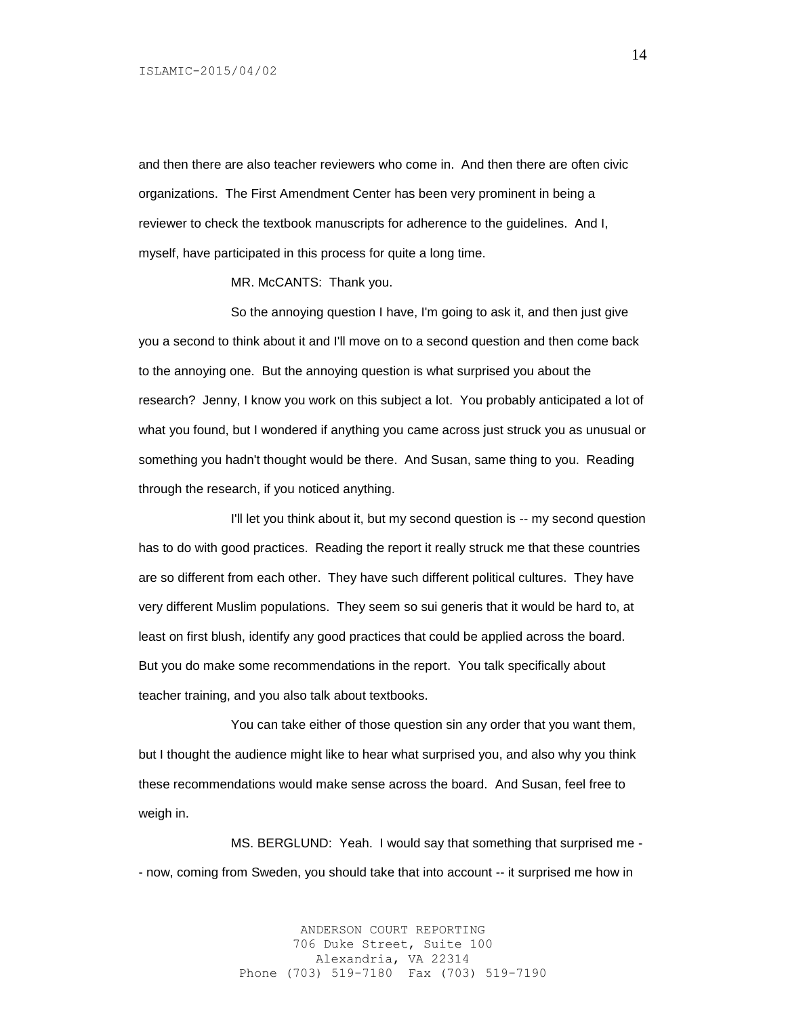and then there are also teacher reviewers who come in. And then there are often civic organizations. The First Amendment Center has been very prominent in being a reviewer to check the textbook manuscripts for adherence to the guidelines. And I, myself, have participated in this process for quite a long time.

MR. McCANTS: Thank you.

So the annoying question I have, I'm going to ask it, and then just give you a second to think about it and I'll move on to a second question and then come back to the annoying one. But the annoying question is what surprised you about the research? Jenny, I know you work on this subject a lot. You probably anticipated a lot of what you found, but I wondered if anything you came across just struck you as unusual or something you hadn't thought would be there. And Susan, same thing to you. Reading through the research, if you noticed anything.

I'll let you think about it, but my second question is -- my second question has to do with good practices. Reading the report it really struck me that these countries are so different from each other. They have such different political cultures. They have very different Muslim populations. They seem so sui generis that it would be hard to, at least on first blush, identify any good practices that could be applied across the board. But you do make some recommendations in the report. You talk specifically about teacher training, and you also talk about textbooks.

You can take either of those question sin any order that you want them, but I thought the audience might like to hear what surprised you, and also why you think these recommendations would make sense across the board. And Susan, feel free to weigh in.

MS. BERGLUND: Yeah. I would say that something that surprised me - - now, coming from Sweden, you should take that into account -- it surprised me how in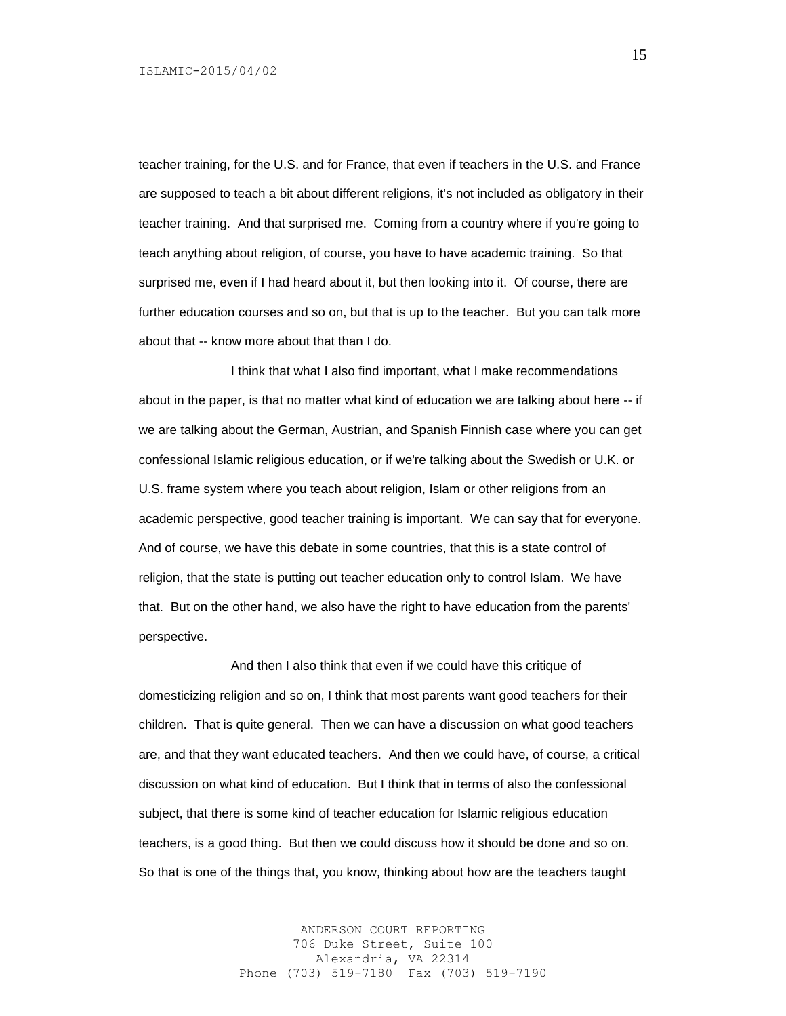teacher training, for the U.S. and for France, that even if teachers in the U.S. and France are supposed to teach a bit about different religions, it's not included as obligatory in their teacher training. And that surprised me. Coming from a country where if you're going to teach anything about religion, of course, you have to have academic training. So that surprised me, even if I had heard about it, but then looking into it. Of course, there are further education courses and so on, but that is up to the teacher. But you can talk more about that -- know more about that than I do.

I think that what I also find important, what I make recommendations about in the paper, is that no matter what kind of education we are talking about here -- if we are talking about the German, Austrian, and Spanish Finnish case where you can get confessional Islamic religious education, or if we're talking about the Swedish or U.K. or U.S. frame system where you teach about religion, Islam or other religions from an academic perspective, good teacher training is important. We can say that for everyone. And of course, we have this debate in some countries, that this is a state control of religion, that the state is putting out teacher education only to control Islam. We have that. But on the other hand, we also have the right to have education from the parents' perspective.

And then I also think that even if we could have this critique of domesticizing religion and so on, I think that most parents want good teachers for their children. That is quite general. Then we can have a discussion on what good teachers are, and that they want educated teachers. And then we could have, of course, a critical discussion on what kind of education. But I think that in terms of also the confessional subject, that there is some kind of teacher education for Islamic religious education teachers, is a good thing. But then we could discuss how it should be done and so on. So that is one of the things that, you know, thinking about how are the teachers taught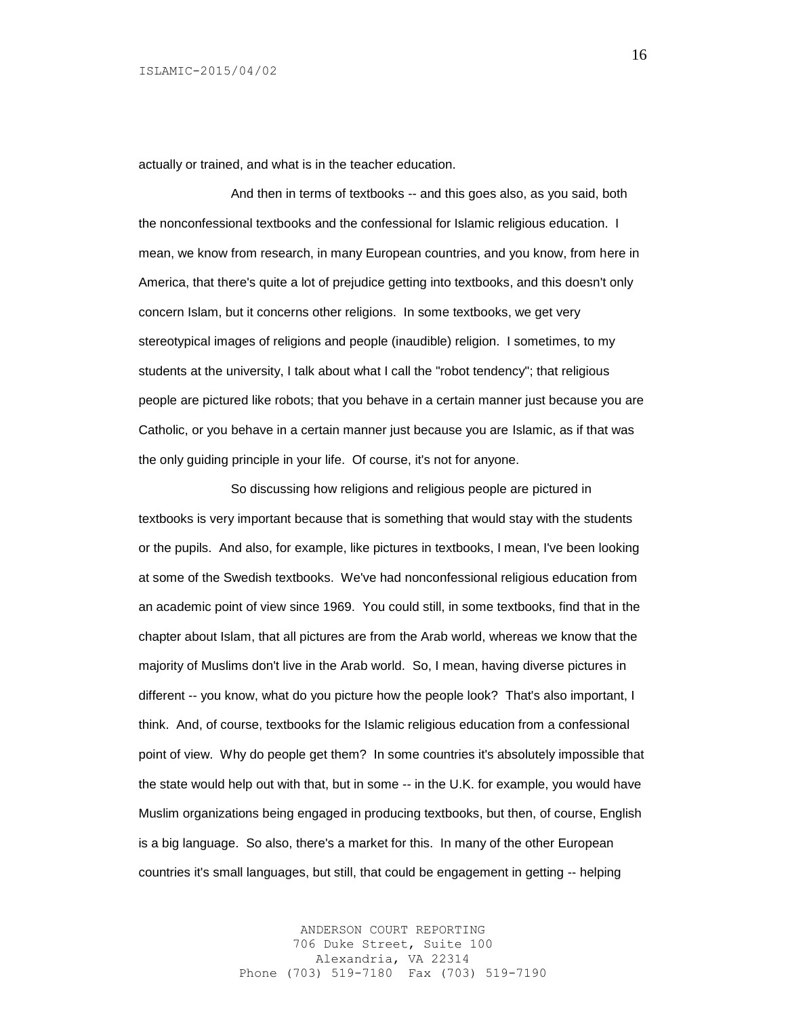actually or trained, and what is in the teacher education.

And then in terms of textbooks -- and this goes also, as you said, both the nonconfessional textbooks and the confessional for Islamic religious education. I mean, we know from research, in many European countries, and you know, from here in America, that there's quite a lot of prejudice getting into textbooks, and this doesn't only concern Islam, but it concerns other religions. In some textbooks, we get very stereotypical images of religions and people (inaudible) religion. I sometimes, to my students at the university, I talk about what I call the "robot tendency"; that religious people are pictured like robots; that you behave in a certain manner just because you are Catholic, or you behave in a certain manner just because you are Islamic, as if that was the only guiding principle in your life. Of course, it's not for anyone.

So discussing how religions and religious people are pictured in textbooks is very important because that is something that would stay with the students or the pupils. And also, for example, like pictures in textbooks, I mean, I've been looking at some of the Swedish textbooks. We've had nonconfessional religious education from an academic point of view since 1969. You could still, in some textbooks, find that in the chapter about Islam, that all pictures are from the Arab world, whereas we know that the majority of Muslims don't live in the Arab world. So, I mean, having diverse pictures in different -- you know, what do you picture how the people look? That's also important, I think. And, of course, textbooks for the Islamic religious education from a confessional point of view. Why do people get them? In some countries it's absolutely impossible that the state would help out with that, but in some -- in the U.K. for example, you would have Muslim organizations being engaged in producing textbooks, but then, of course, English is a big language. So also, there's a market for this. In many of the other European countries it's small languages, but still, that could be engagement in getting -- helping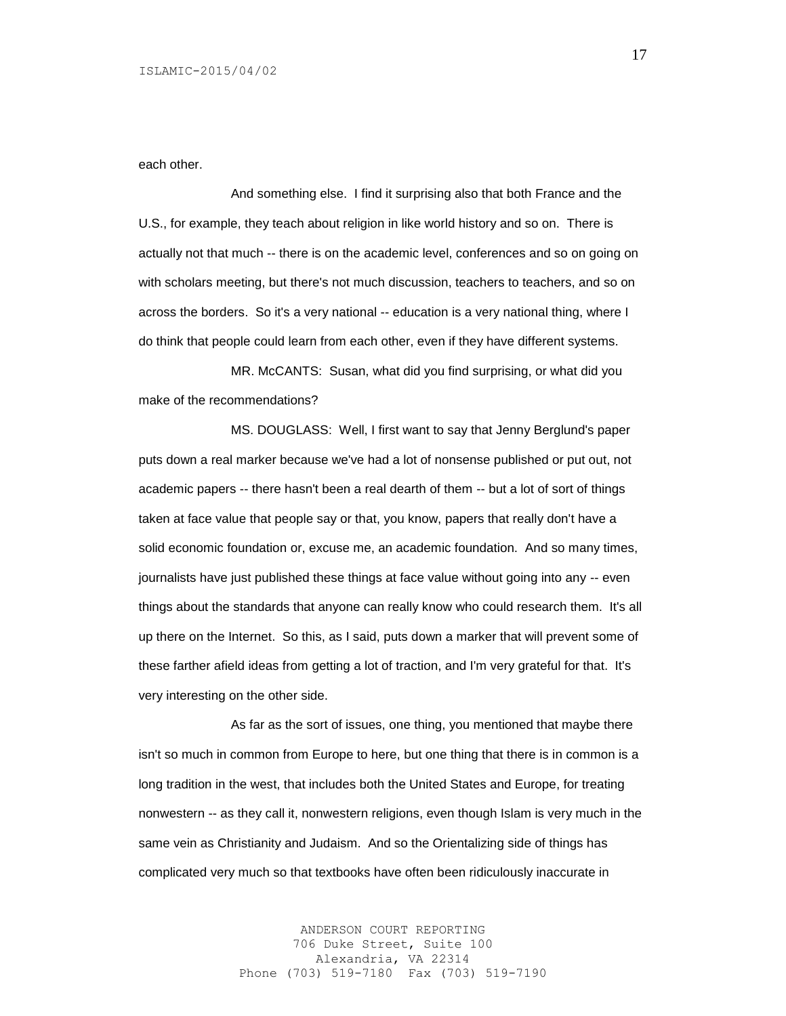each other.

And something else. I find it surprising also that both France and the U.S., for example, they teach about religion in like world history and so on. There is actually not that much -- there is on the academic level, conferences and so on going on with scholars meeting, but there's not much discussion, teachers to teachers, and so on across the borders. So it's a very national -- education is a very national thing, where I do think that people could learn from each other, even if they have different systems.

MR. McCANTS: Susan, what did you find surprising, or what did you make of the recommendations?

MS. DOUGLASS: Well, I first want to say that Jenny Berglund's paper puts down a real marker because we've had a lot of nonsense published or put out, not academic papers -- there hasn't been a real dearth of them -- but a lot of sort of things taken at face value that people say or that, you know, papers that really don't have a solid economic foundation or, excuse me, an academic foundation. And so many times, journalists have just published these things at face value without going into any -- even things about the standards that anyone can really know who could research them. It's all up there on the Internet. So this, as I said, puts down a marker that will prevent some of these farther afield ideas from getting a lot of traction, and I'm very grateful for that. It's very interesting on the other side.

As far as the sort of issues, one thing, you mentioned that maybe there isn't so much in common from Europe to here, but one thing that there is in common is a long tradition in the west, that includes both the United States and Europe, for treating nonwestern -- as they call it, nonwestern religions, even though Islam is very much in the same vein as Christianity and Judaism. And so the Orientalizing side of things has complicated very much so that textbooks have often been ridiculously inaccurate in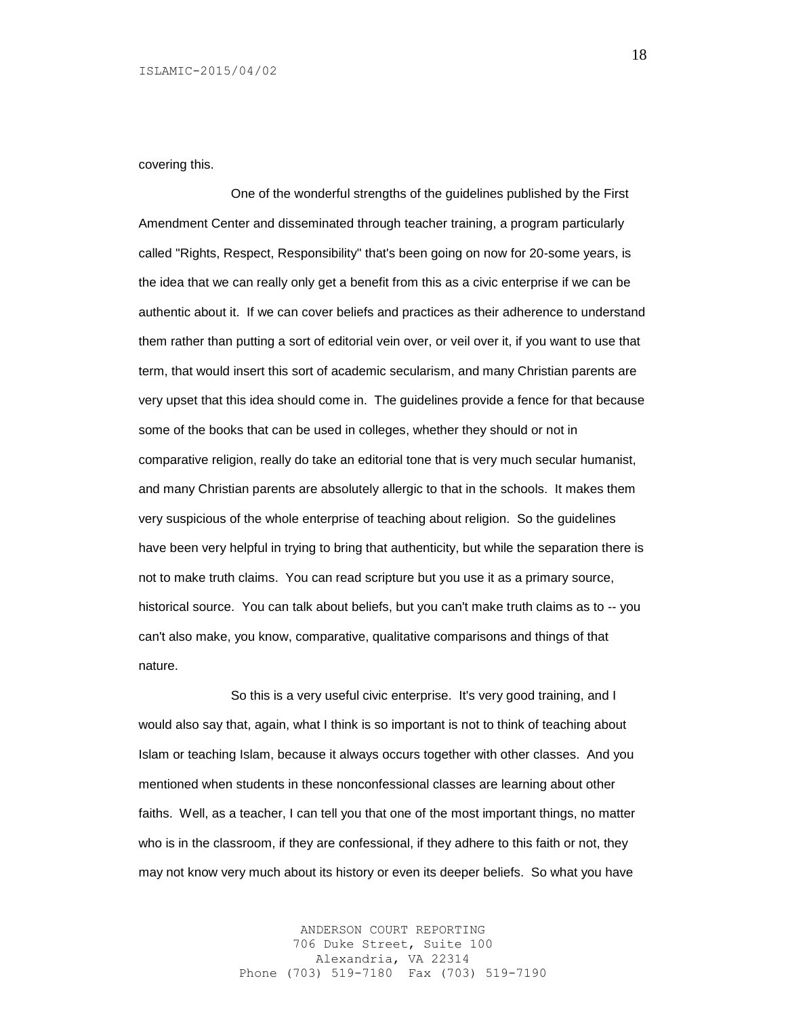covering this.

One of the wonderful strengths of the guidelines published by the First Amendment Center and disseminated through teacher training, a program particularly called "Rights, Respect, Responsibility" that's been going on now for 20-some years, is the idea that we can really only get a benefit from this as a civic enterprise if we can be authentic about it. If we can cover beliefs and practices as their adherence to understand them rather than putting a sort of editorial vein over, or veil over it, if you want to use that term, that would insert this sort of academic secularism, and many Christian parents are very upset that this idea should come in. The guidelines provide a fence for that because some of the books that can be used in colleges, whether they should or not in comparative religion, really do take an editorial tone that is very much secular humanist, and many Christian parents are absolutely allergic to that in the schools. It makes them very suspicious of the whole enterprise of teaching about religion. So the guidelines have been very helpful in trying to bring that authenticity, but while the separation there is not to make truth claims. You can read scripture but you use it as a primary source, historical source. You can talk about beliefs, but you can't make truth claims as to -- you can't also make, you know, comparative, qualitative comparisons and things of that nature.

So this is a very useful civic enterprise. It's very good training, and I would also say that, again, what I think is so important is not to think of teaching about Islam or teaching Islam, because it always occurs together with other classes. And you mentioned when students in these nonconfessional classes are learning about other faiths. Well, as a teacher, I can tell you that one of the most important things, no matter who is in the classroom, if they are confessional, if they adhere to this faith or not, they may not know very much about its history or even its deeper beliefs. So what you have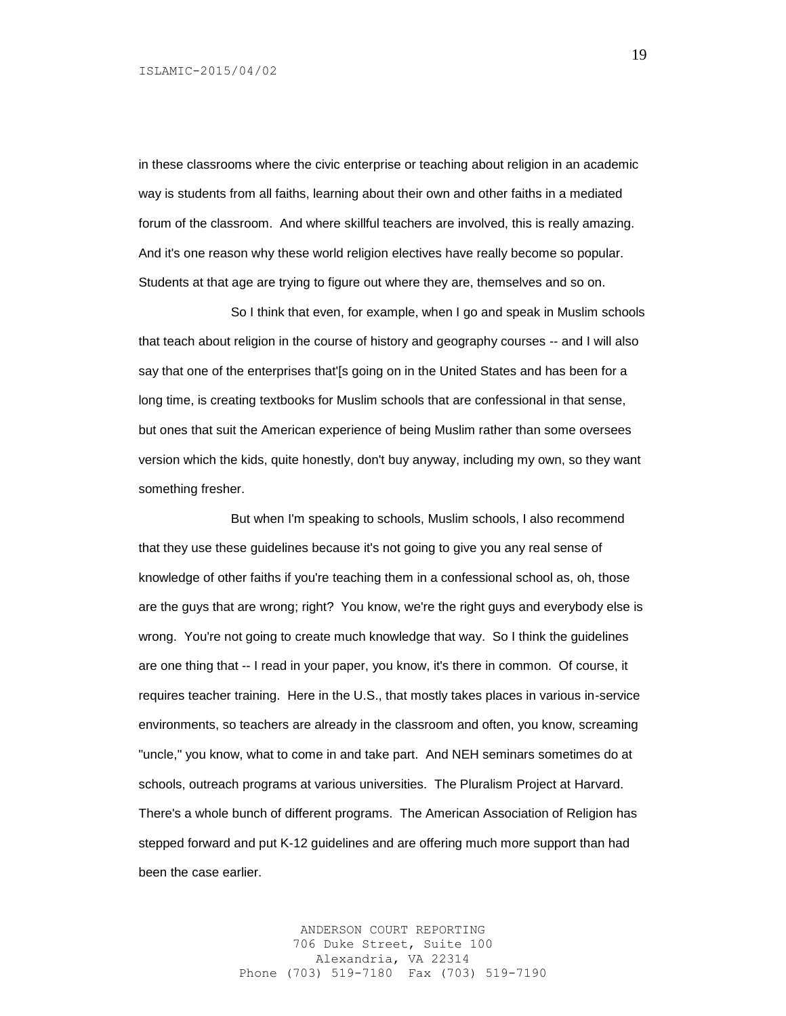in these classrooms where the civic enterprise or teaching about religion in an academic way is students from all faiths, learning about their own and other faiths in a mediated forum of the classroom. And where skillful teachers are involved, this is really amazing. And it's one reason why these world religion electives have really become so popular. Students at that age are trying to figure out where they are, themselves and so on.

So I think that even, for example, when I go and speak in Muslim schools that teach about religion in the course of history and geography courses -- and I will also say that one of the enterprises that'[s going on in the United States and has been for a long time, is creating textbooks for Muslim schools that are confessional in that sense, but ones that suit the American experience of being Muslim rather than some oversees version which the kids, quite honestly, don't buy anyway, including my own, so they want something fresher.

But when I'm speaking to schools, Muslim schools, I also recommend that they use these guidelines because it's not going to give you any real sense of knowledge of other faiths if you're teaching them in a confessional school as, oh, those are the guys that are wrong; right? You know, we're the right guys and everybody else is wrong. You're not going to create much knowledge that way. So I think the guidelines are one thing that -- I read in your paper, you know, it's there in common. Of course, it requires teacher training. Here in the U.S., that mostly takes places in various in-service environments, so teachers are already in the classroom and often, you know, screaming "uncle," you know, what to come in and take part. And NEH seminars sometimes do at schools, outreach programs at various universities. The Pluralism Project at Harvard. There's a whole bunch of different programs. The American Association of Religion has stepped forward and put K-12 guidelines and are offering much more support than had been the case earlier.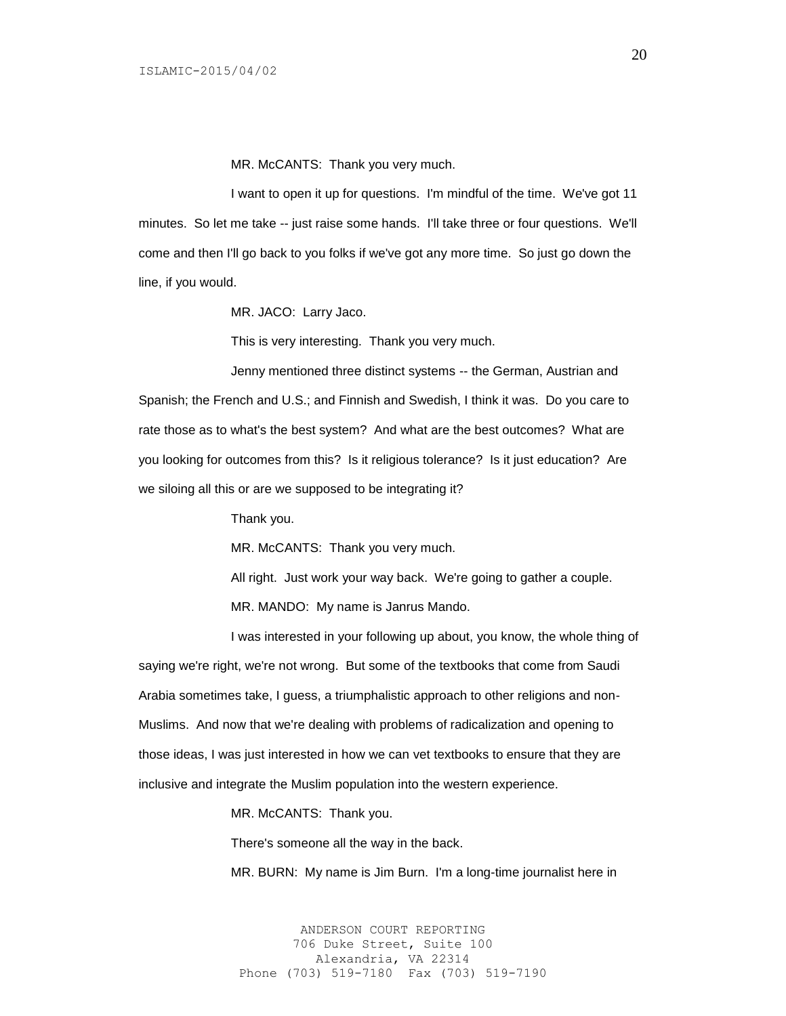MR. McCANTS: Thank you very much.

I want to open it up for questions. I'm mindful of the time. We've got 11 minutes. So let me take -- just raise some hands. I'll take three or four questions. We'll come and then I'll go back to you folks if we've got any more time. So just go down the line, if you would.

MR. JACO: Larry Jaco.

This is very interesting. Thank you very much.

Jenny mentioned three distinct systems -- the German, Austrian and Spanish; the French and U.S.; and Finnish and Swedish, I think it was. Do you care to rate those as to what's the best system? And what are the best outcomes? What are you looking for outcomes from this? Is it religious tolerance? Is it just education? Are we siloing all this or are we supposed to be integrating it?

Thank you.

MR. McCANTS: Thank you very much.

All right. Just work your way back. We're going to gather a couple. MR. MANDO: My name is Janrus Mando.

I was interested in your following up about, you know, the whole thing of saying we're right, we're not wrong. But some of the textbooks that come from Saudi Arabia sometimes take, I guess, a triumphalistic approach to other religions and non-Muslims. And now that we're dealing with problems of radicalization and opening to those ideas, I was just interested in how we can vet textbooks to ensure that they are inclusive and integrate the Muslim population into the western experience.

MR. McCANTS: Thank you.

There's someone all the way in the back.

MR. BURN: My name is Jim Burn. I'm a long-time journalist here in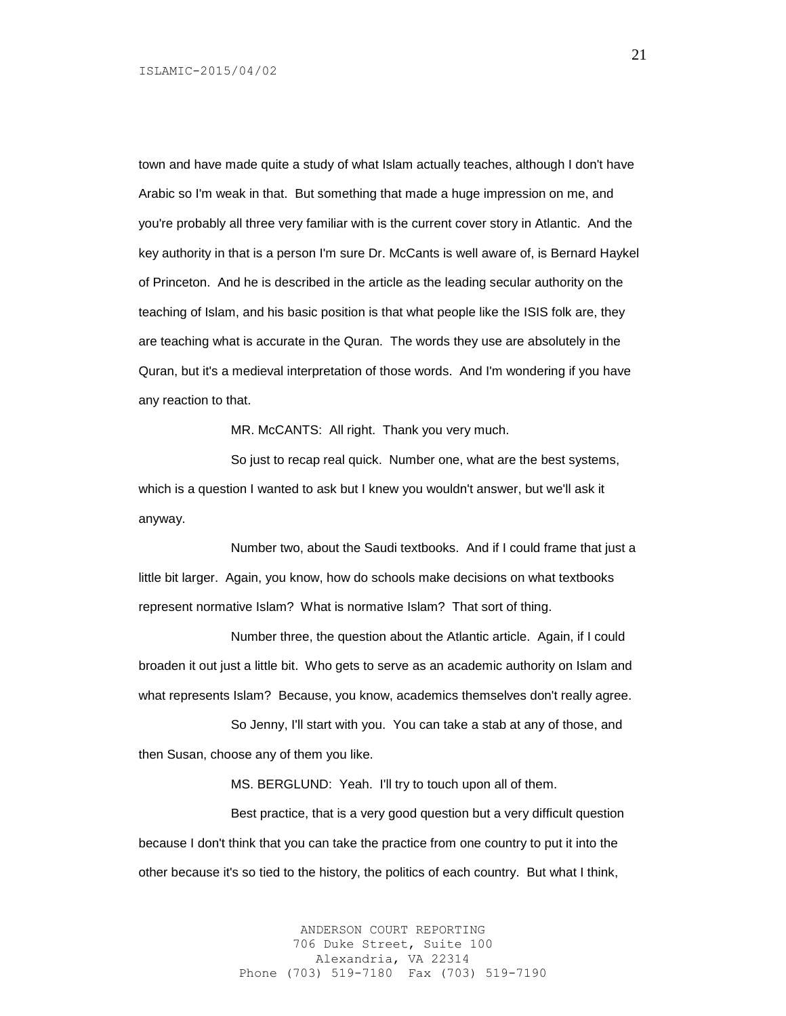town and have made quite a study of what Islam actually teaches, although I don't have Arabic so I'm weak in that. But something that made a huge impression on me, and you're probably all three very familiar with is the current cover story in Atlantic. And the key authority in that is a person I'm sure Dr. McCants is well aware of, is Bernard Haykel of Princeton. And he is described in the article as the leading secular authority on the teaching of Islam, and his basic position is that what people like the ISIS folk are, they are teaching what is accurate in the Quran. The words they use are absolutely in the Quran, but it's a medieval interpretation of those words. And I'm wondering if you have any reaction to that.

MR. McCANTS: All right. Thank you very much.

So just to recap real quick. Number one, what are the best systems, which is a question I wanted to ask but I knew you wouldn't answer, but we'll ask it anyway.

Number two, about the Saudi textbooks. And if I could frame that just a little bit larger. Again, you know, how do schools make decisions on what textbooks represent normative Islam? What is normative Islam? That sort of thing.

Number three, the question about the Atlantic article. Again, if I could broaden it out just a little bit. Who gets to serve as an academic authority on Islam and what represents Islam? Because, you know, academics themselves don't really agree.

So Jenny, I'll start with you. You can take a stab at any of those, and then Susan, choose any of them you like.

MS. BERGLUND: Yeah. I'll try to touch upon all of them.

Best practice, that is a very good question but a very difficult question because I don't think that you can take the practice from one country to put it into the other because it's so tied to the history, the politics of each country. But what I think,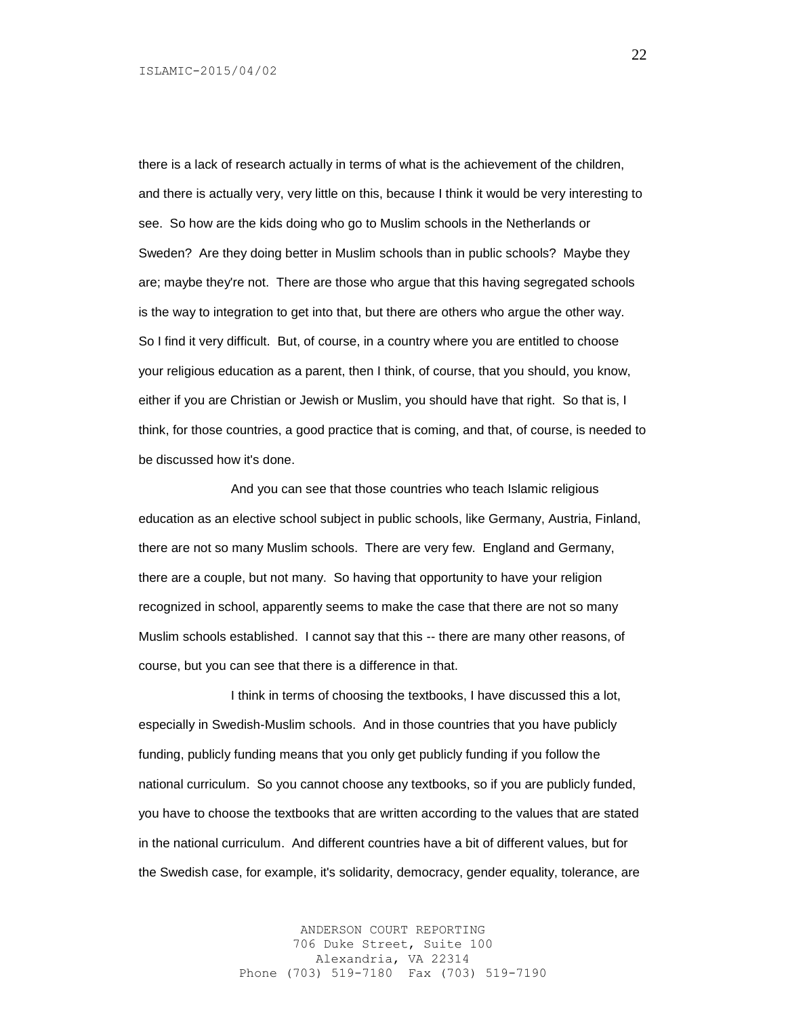there is a lack of research actually in terms of what is the achievement of the children, and there is actually very, very little on this, because I think it would be very interesting to see. So how are the kids doing who go to Muslim schools in the Netherlands or Sweden? Are they doing better in Muslim schools than in public schools? Maybe they are; maybe they're not. There are those who argue that this having segregated schools is the way to integration to get into that, but there are others who argue the other way. So I find it very difficult. But, of course, in a country where you are entitled to choose your religious education as a parent, then I think, of course, that you should, you know, either if you are Christian or Jewish or Muslim, you should have that right. So that is, I think, for those countries, a good practice that is coming, and that, of course, is needed to be discussed how it's done.

And you can see that those countries who teach Islamic religious education as an elective school subject in public schools, like Germany, Austria, Finland, there are not so many Muslim schools. There are very few. England and Germany, there are a couple, but not many. So having that opportunity to have your religion recognized in school, apparently seems to make the case that there are not so many Muslim schools established. I cannot say that this -- there are many other reasons, of course, but you can see that there is a difference in that.

I think in terms of choosing the textbooks, I have discussed this a lot, especially in Swedish-Muslim schools. And in those countries that you have publicly funding, publicly funding means that you only get publicly funding if you follow the national curriculum. So you cannot choose any textbooks, so if you are publicly funded, you have to choose the textbooks that are written according to the values that are stated in the national curriculum. And different countries have a bit of different values, but for the Swedish case, for example, it's solidarity, democracy, gender equality, tolerance, are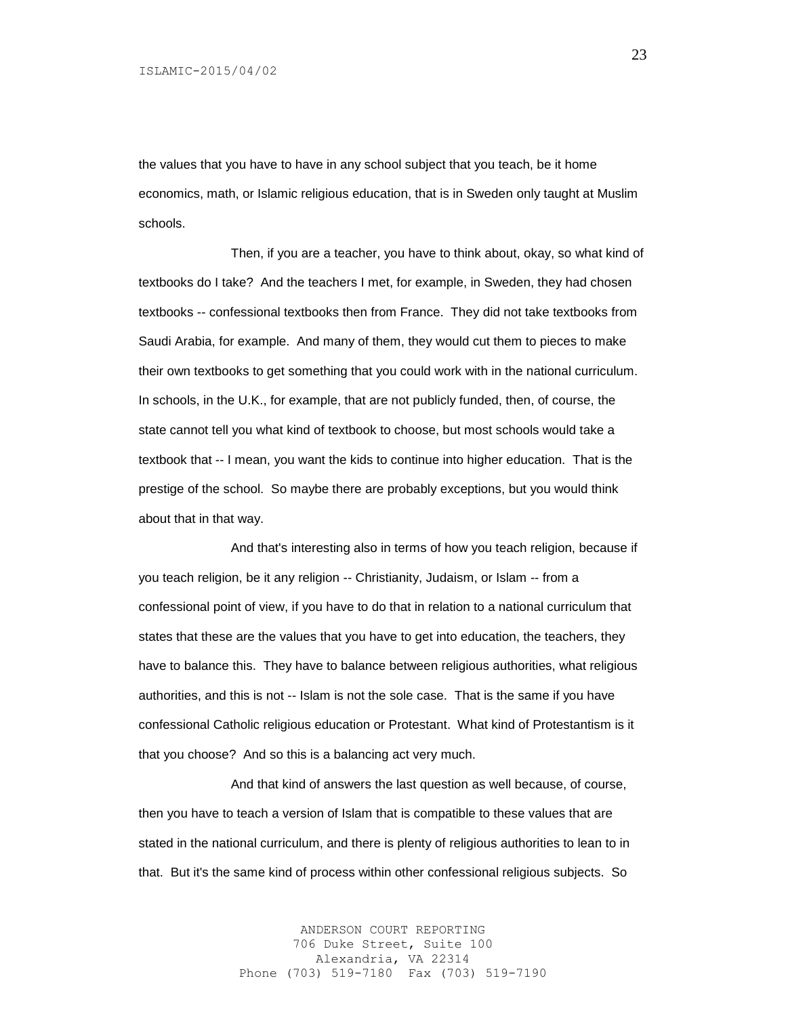the values that you have to have in any school subject that you teach, be it home economics, math, or Islamic religious education, that is in Sweden only taught at Muslim schools.

Then, if you are a teacher, you have to think about, okay, so what kind of textbooks do I take? And the teachers I met, for example, in Sweden, they had chosen textbooks -- confessional textbooks then from France. They did not take textbooks from Saudi Arabia, for example. And many of them, they would cut them to pieces to make their own textbooks to get something that you could work with in the national curriculum. In schools, in the U.K., for example, that are not publicly funded, then, of course, the state cannot tell you what kind of textbook to choose, but most schools would take a textbook that -- I mean, you want the kids to continue into higher education. That is the prestige of the school. So maybe there are probably exceptions, but you would think about that in that way.

And that's interesting also in terms of how you teach religion, because if you teach religion, be it any religion -- Christianity, Judaism, or Islam -- from a confessional point of view, if you have to do that in relation to a national curriculum that states that these are the values that you have to get into education, the teachers, they have to balance this. They have to balance between religious authorities, what religious authorities, and this is not -- Islam is not the sole case. That is the same if you have confessional Catholic religious education or Protestant. What kind of Protestantism is it that you choose? And so this is a balancing act very much.

And that kind of answers the last question as well because, of course, then you have to teach a version of Islam that is compatible to these values that are stated in the national curriculum, and there is plenty of religious authorities to lean to in that. But it's the same kind of process within other confessional religious subjects. So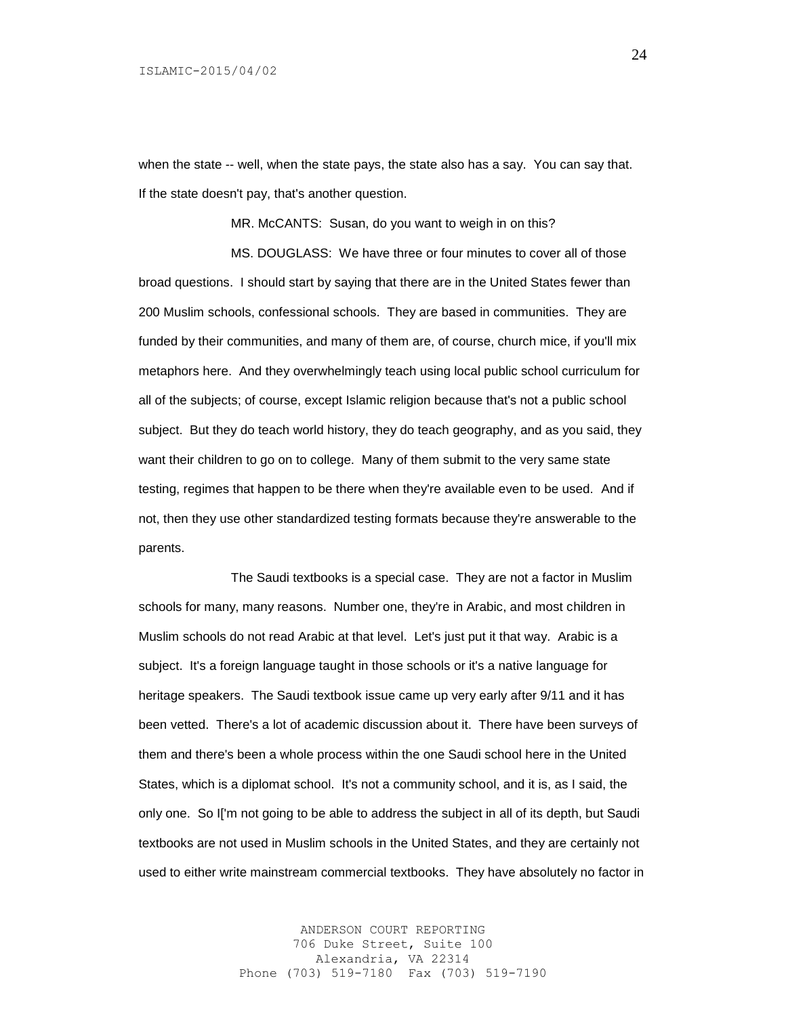when the state -- well, when the state pays, the state also has a say. You can say that. If the state doesn't pay, that's another question.

MR. McCANTS: Susan, do you want to weigh in on this?

MS. DOUGLASS: We have three or four minutes to cover all of those broad questions. I should start by saying that there are in the United States fewer than 200 Muslim schools, confessional schools. They are based in communities. They are funded by their communities, and many of them are, of course, church mice, if you'll mix metaphors here. And they overwhelmingly teach using local public school curriculum for all of the subjects; of course, except Islamic religion because that's not a public school subject. But they do teach world history, they do teach geography, and as you said, they want their children to go on to college. Many of them submit to the very same state testing, regimes that happen to be there when they're available even to be used. And if not, then they use other standardized testing formats because they're answerable to the parents.

The Saudi textbooks is a special case. They are not a factor in Muslim schools for many, many reasons. Number one, they're in Arabic, and most children in Muslim schools do not read Arabic at that level. Let's just put it that way. Arabic is a subject. It's a foreign language taught in those schools or it's a native language for heritage speakers. The Saudi textbook issue came up very early after 9/11 and it has been vetted. There's a lot of academic discussion about it. There have been surveys of them and there's been a whole process within the one Saudi school here in the United States, which is a diplomat school. It's not a community school, and it is, as I said, the only one. So I['m not going to be able to address the subject in all of its depth, but Saudi textbooks are not used in Muslim schools in the United States, and they are certainly not used to either write mainstream commercial textbooks. They have absolutely no factor in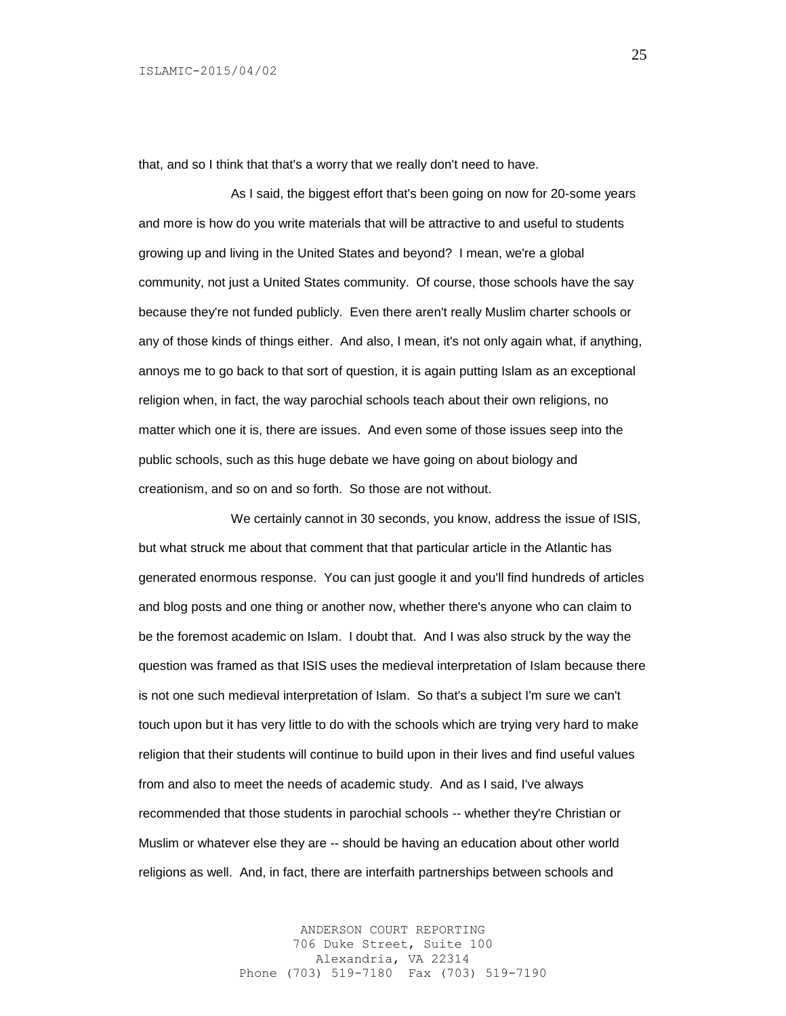that, and so I think that that's a worry that we really don't need to have.

As I said, the biggest effort that's been going on now for 20-some years and more is how do you write materials that will be attractive to and useful to students growing up and living in the United States and beyond? I mean, we're a global community, not just a United States community. Of course, those schools have the say because they're not funded publicly. Even there aren't really Muslim charter schools or any of those kinds of things either. And also, I mean, it's not only again what, if anything, annoys me to go back to that sort of question, it is again putting Islam as an exceptional religion when, in fact, the way parochial schools teach about their own religions, no matter which one it is, there are issues. And even some of those issues seep into the public schools, such as this huge debate we have going on about biology and creationism, and so on and so forth. So those are not without.

We certainly cannot in 30 seconds, you know, address the issue of ISIS, but what struck me about that comment that that particular article in the Atlantic has generated enormous response. You can just google it and you'll find hundreds of articles and blog posts and one thing or another now, whether there's anyone who can claim to be the foremost academic on Islam. I doubt that. And I was also struck by the way the question was framed as that ISIS uses the medieval interpretation of Islam because there is not one such medieval interpretation of Islam. So that's a subject I'm sure we can't touch upon but it has very little to do with the schools which are trying very hard to make religion that their students will continue to build upon in their lives and find useful values from and also to meet the needs of academic study. And as I said, I've always recommended that those students in parochial schools -- whether they're Christian or Muslim or whatever else they are -- should be having an education about other world religions as well. And, in fact, there are interfaith partnerships between schools and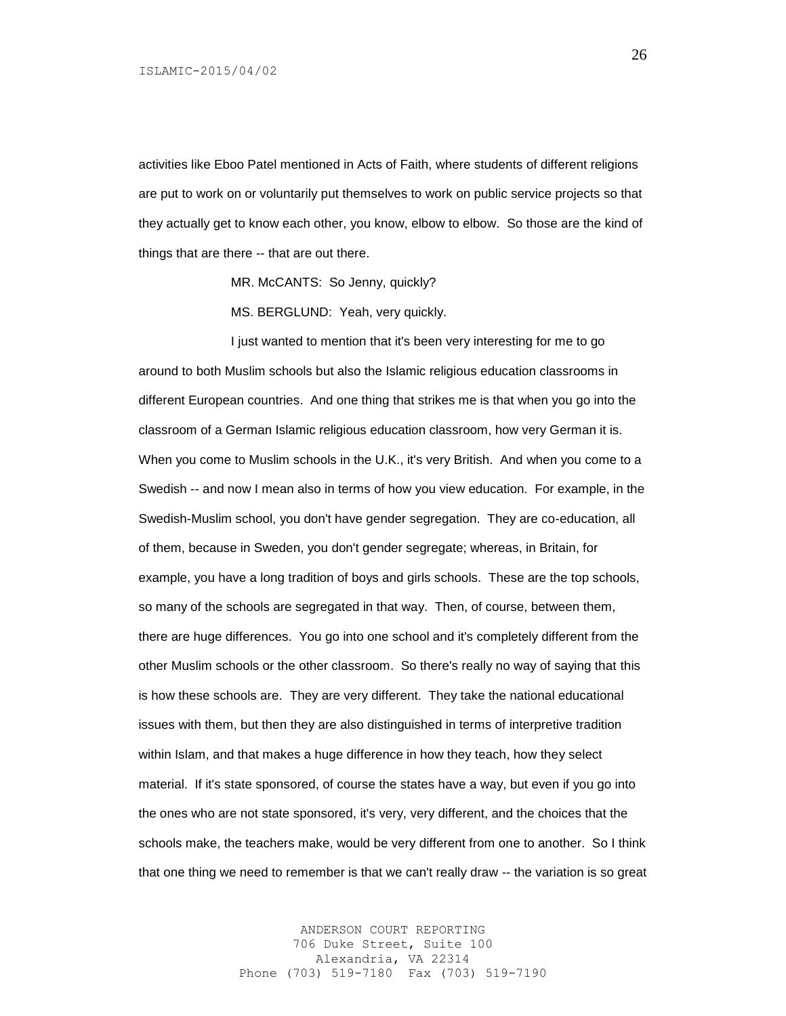activities like Eboo Patel mentioned in Acts of Faith, where students of different religions are put to work on or voluntarily put themselves to work on public service projects so that they actually get to know each other, you know, elbow to elbow. So those are the kind of things that are there -- that are out there.

MR. McCANTS: So Jenny, quickly?

MS. BERGLUND: Yeah, very quickly.

I just wanted to mention that it's been very interesting for me to go around to both Muslim schools but also the Islamic religious education classrooms in different European countries. And one thing that strikes me is that when you go into the classroom of a German Islamic religious education classroom, how very German it is. When you come to Muslim schools in the U.K., it's very British. And when you come to a Swedish -- and now I mean also in terms of how you view education. For example, in the Swedish-Muslim school, you don't have gender segregation. They are co-education, all of them, because in Sweden, you don't gender segregate; whereas, in Britain, for example, you have a long tradition of boys and girls schools. These are the top schools, so many of the schools are segregated in that way. Then, of course, between them, there are huge differences. You go into one school and it's completely different from the other Muslim schools or the other classroom. So there's really no way of saying that this is how these schools are. They are very different. They take the national educational issues with them, but then they are also distinguished in terms of interpretive tradition within Islam, and that makes a huge difference in how they teach, how they select material. If it's state sponsored, of course the states have a way, but even if you go into the ones who are not state sponsored, it's very, very different, and the choices that the schools make, the teachers make, would be very different from one to another. So I think that one thing we need to remember is that we can't really draw -- the variation is so great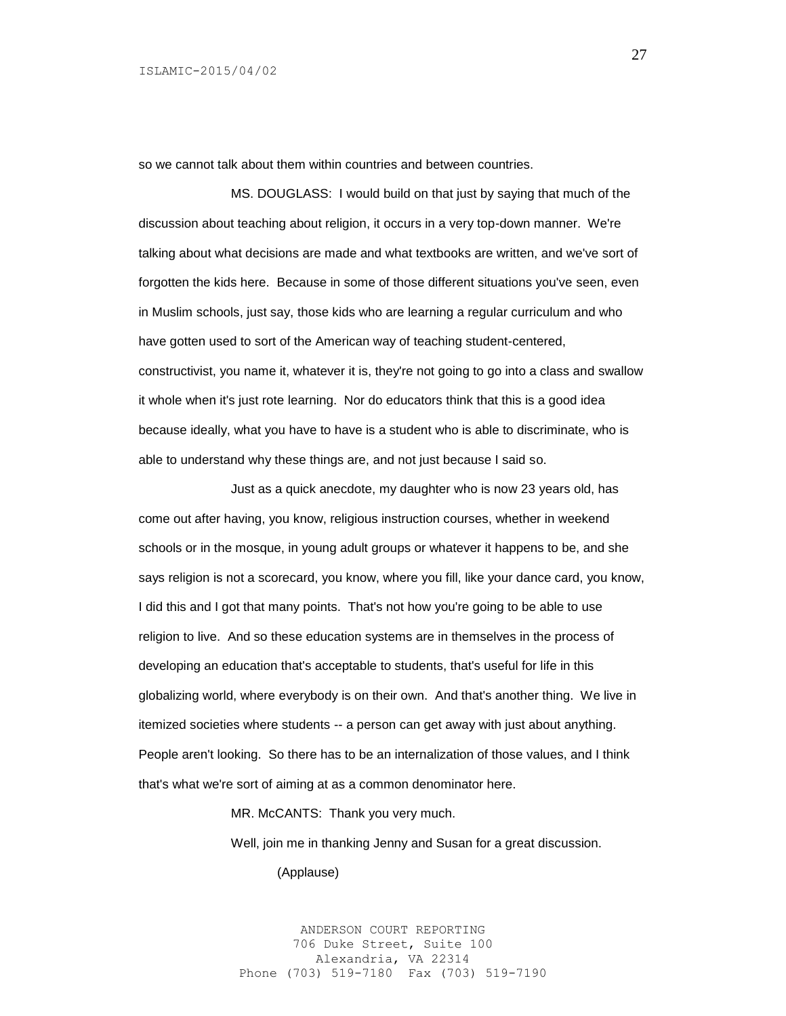so we cannot talk about them within countries and between countries.

MS. DOUGLASS: I would build on that just by saying that much of the discussion about teaching about religion, it occurs in a very top-down manner. We're talking about what decisions are made and what textbooks are written, and we've sort of forgotten the kids here. Because in some of those different situations you've seen, even in Muslim schools, just say, those kids who are learning a regular curriculum and who have gotten used to sort of the American way of teaching student-centered, constructivist, you name it, whatever it is, they're not going to go into a class and swallow it whole when it's just rote learning. Nor do educators think that this is a good idea because ideally, what you have to have is a student who is able to discriminate, who is able to understand why these things are, and not just because I said so.

Just as a quick anecdote, my daughter who is now 23 years old, has come out after having, you know, religious instruction courses, whether in weekend schools or in the mosque, in young adult groups or whatever it happens to be, and she says religion is not a scorecard, you know, where you fill, like your dance card, you know, I did this and I got that many points. That's not how you're going to be able to use religion to live. And so these education systems are in themselves in the process of developing an education that's acceptable to students, that's useful for life in this globalizing world, where everybody is on their own. And that's another thing. We live in itemized societies where students -- a person can get away with just about anything. People aren't looking. So there has to be an internalization of those values, and I think that's what we're sort of aiming at as a common denominator here.

MR. McCANTS: Thank you very much.

Well, join me in thanking Jenny and Susan for a great discussion.

(Applause)

ANDERSON COURT REPORTING 706 Duke Street, Suite 100 Alexandria, VA 22314 Phone (703) 519-7180 Fax (703) 519-7190 27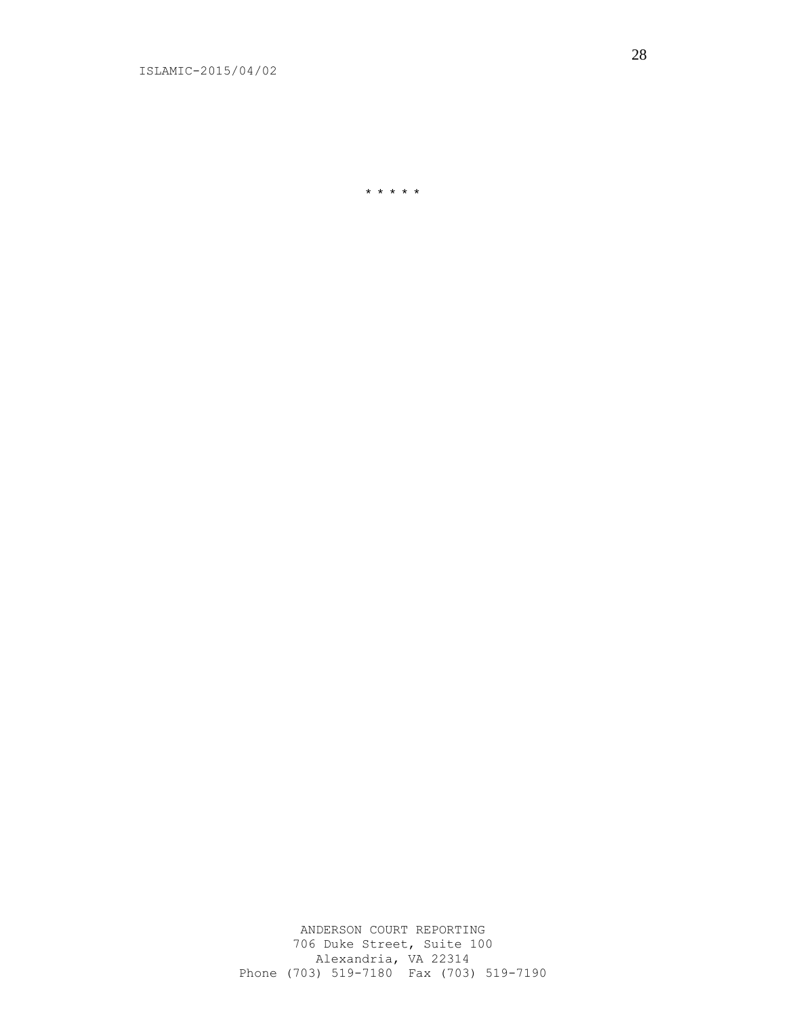\* \* \* \* \*